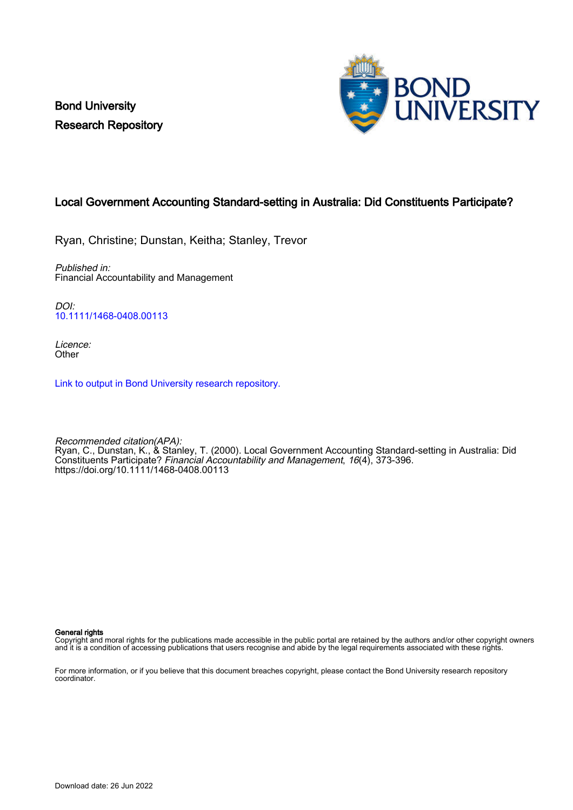Bond University Research Repository



# Local Government Accounting Standard-setting in Australia: Did Constituents Participate?

Ryan, Christine; Dunstan, Keitha; Stanley, Trevor

Published in: Financial Accountability and Management

DOI: [10.1111/1468-0408.00113](https://doi.org/10.1111/1468-0408.00113)

Licence: **Other** 

[Link to output in Bond University research repository.](https://research.bond.edu.au/en/publications/c2d478ac-3655-447e-b8ad-70d910a72dfb)

Recommended citation(APA): Ryan, C., Dunstan, K., & Stanley, T. (2000). Local Government Accounting Standard-setting in Australia: Did Constituents Participate? Financial Accountability and Management, 16(4), 373-396. <https://doi.org/10.1111/1468-0408.00113>

#### General rights

Copyright and moral rights for the publications made accessible in the public portal are retained by the authors and/or other copyright owners and it is a condition of accessing publications that users recognise and abide by the legal requirements associated with these rights.

For more information, or if you believe that this document breaches copyright, please contact the Bond University research repository coordinator.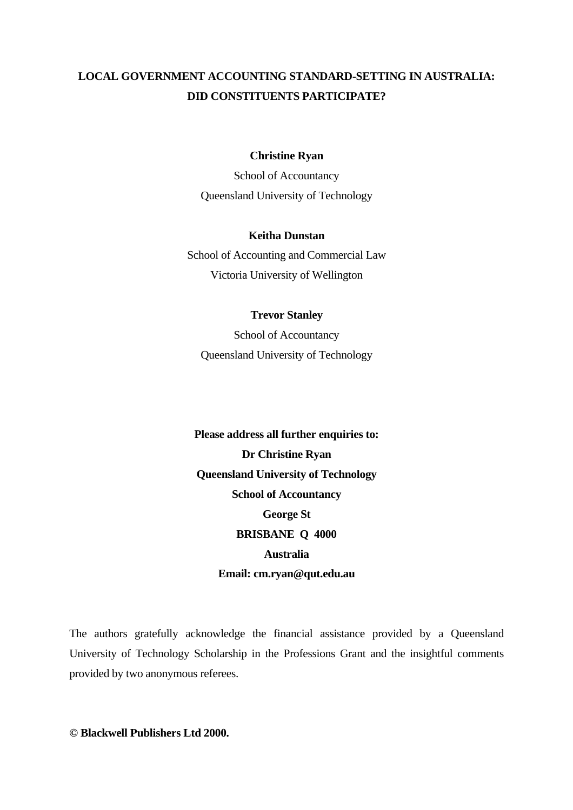# **LOCAL GOVERNMENT ACCOUNTING STANDARD-SETTING IN AUSTRALIA: DID CONSTITUENTS PARTICIPATE?**

### **Christine Ryan**

School of Accountancy Queensland University of Technology

#### **Keitha Dunstan**

School of Accounting and Commercial Law Victoria University of Wellington

## **Trevor Stanley**

School of Accountancy Queensland University of Technology

**Please address all further enquiries to: Dr Christine Ryan Queensland University of Technology School of Accountancy George St BRISBANE Q 4000 Australia Email: cm.ryan@qut.edu.au** 

The authors gratefully acknowledge the financial assistance provided by a Queensland University of Technology Scholarship in the Professions Grant and the insightful comments provided by two anonymous referees.

**© Blackwell Publishers Ltd 2000.**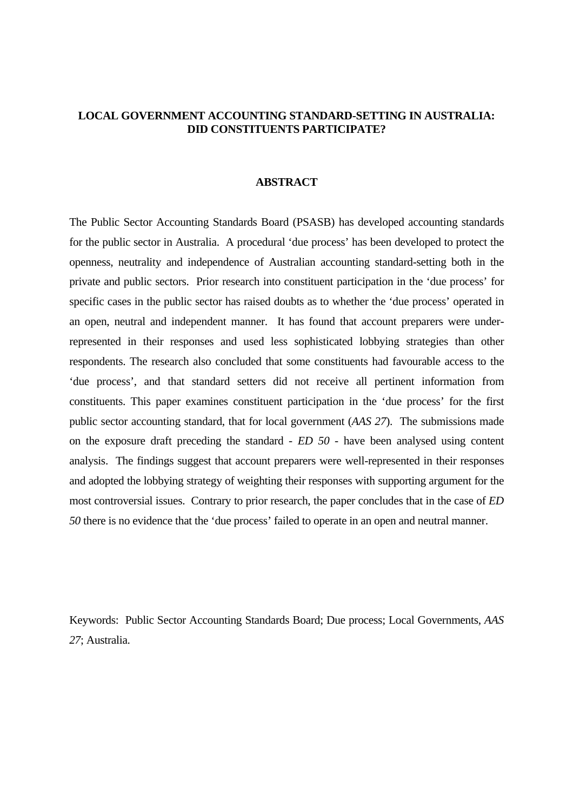## **LOCAL GOVERNMENT ACCOUNTING STANDARD-SETTING IN AUSTRALIA: DID CONSTITUENTS PARTICIPATE?**

#### **ABSTRACT**

The Public Sector Accounting Standards Board (PSASB) has developed accounting standards for the public sector in Australia. A procedural 'due process' has been developed to protect the openness, neutrality and independence of Australian accounting standard-setting both in the private and public sectors. Prior research into constituent participation in the 'due process' for specific cases in the public sector has raised doubts as to whether the 'due process' operated in an open, neutral and independent manner. It has found that account preparers were underrepresented in their responses and used less sophisticated lobbying strategies than other respondents. The research also concluded that some constituents had favourable access to the 'due process', and that standard setters did not receive all pertinent information from constituents. This paper examines constituent participation in the 'due process' for the first public sector accounting standard, that for local government (*AAS 27*). The submissions made on the exposure draft preceding the standard - *ED 50 -* have been analysed using content analysis. The findings suggest that account preparers were well-represented in their responses and adopted the lobbying strategy of weighting their responses with supporting argument for the most controversial issues. Contrary to prior research, the paper concludes that in the case of *ED 50* there is no evidence that the 'due process' failed to operate in an open and neutral manner.

Keywords: Public Sector Accounting Standards Board; Due process; Local Governments, *AAS 27*; Australia.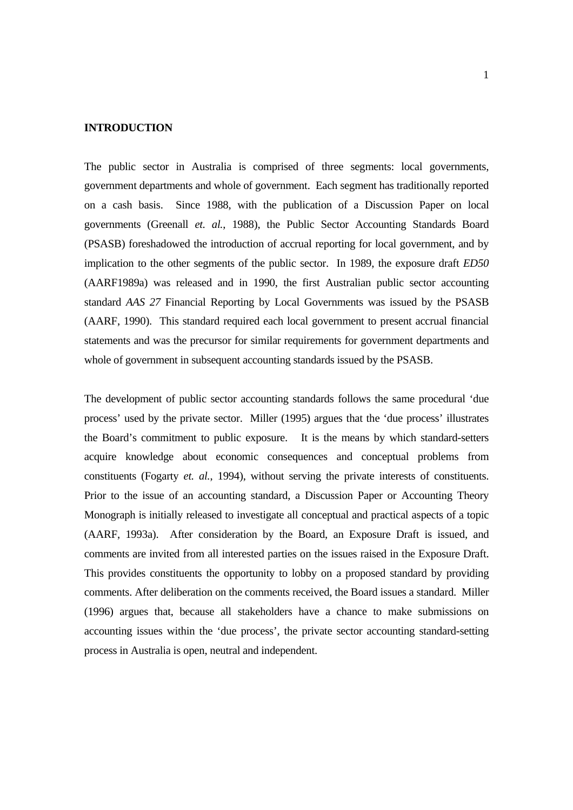### **INTRODUCTION**

The public sector in Australia is comprised of three segments: local governments, government departments and whole of government. Each segment has traditionally reported on a cash basis. Since 1988, with the publication of a Discussion Paper on local governments (Greenall *et. al.*, 1988), the Public Sector Accounting Standards Board (PSASB) foreshadowed the introduction of accrual reporting for local government, and by implication to the other segments of the public sector. In 1989, the exposure draft *ED50* (AARF1989a) was released and in 1990, the first Australian public sector accounting standard *AAS 27* Financial Reporting by Local Governments was issued by the PSASB (AARF, 1990). This standard required each local government to present accrual financial statements and was the precursor for similar requirements for government departments and whole of government in subsequent accounting standards issued by the PSASB.

The development of public sector accounting standards follows the same procedural 'due process' used by the private sector. Miller (1995) argues that the 'due process' illustrates the Board's commitment to public exposure. It is the means by which standard-setters acquire knowledge about economic consequences and conceptual problems from constituents (Fogarty *et. al.*, 1994), without serving the private interests of constituents. Prior to the issue of an accounting standard, a Discussion Paper or Accounting Theory Monograph is initially released to investigate all conceptual and practical aspects of a topic (AARF, 1993a). After consideration by the Board, an Exposure Draft is issued, and comments are invited from all interested parties on the issues raised in the Exposure Draft. This provides constituents the opportunity to lobby on a proposed standard by providing comments. After deliberation on the comments received, the Board issues a standard. Miller (1996) argues that, because all stakeholders have a chance to make submissions on accounting issues within the 'due process', the private sector accounting standard-setting process in Australia is open, neutral and independent.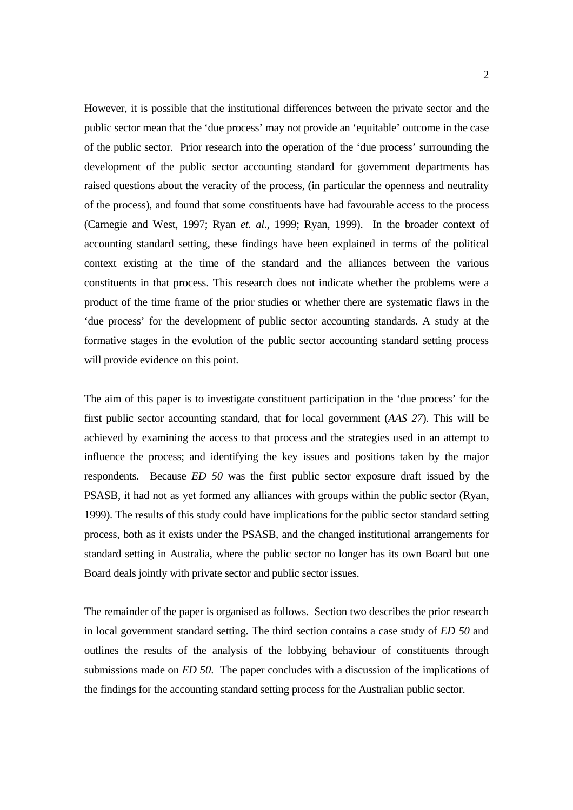However, it is possible that the institutional differences between the private sector and the public sector mean that the 'due process' may not provide an 'equitable' outcome in the case of the public sector. Prior research into the operation of the 'due process' surrounding the development of the public sector accounting standard for government departments has raised questions about the veracity of the process, (in particular the openness and neutrality of the process), and found that some constituents have had favourable access to the process (Carnegie and West, 1997; Ryan *et. al*., 1999; Ryan, 1999). In the broader context of accounting standard setting, these findings have been explained in terms of the political context existing at the time of the standard and the alliances between the various constituents in that process. This research does not indicate whether the problems were a product of the time frame of the prior studies or whether there are systematic flaws in the 'due process' for the development of public sector accounting standards. A study at the formative stages in the evolution of the public sector accounting standard setting process will provide evidence on this point.

The aim of this paper is to investigate constituent participation in the 'due process' for the first public sector accounting standard, that for local government (*AAS 27*). This will be achieved by examining the access to that process and the strategies used in an attempt to influence the process; and identifying the key issues and positions taken by the major respondents. Because *ED 50* was the first public sector exposure draft issued by the PSASB, it had not as yet formed any alliances with groups within the public sector (Ryan, 1999). The results of this study could have implications for the public sector standard setting process, both as it exists under the PSASB, and the changed institutional arrangements for standard setting in Australia, where the public sector no longer has its own Board but one Board deals jointly with private sector and public sector issues.

The remainder of the paper is organised as follows. Section two describes the prior research in local government standard setting. The third section contains a case study of *ED 50* and outlines the results of the analysis of the lobbying behaviour of constituents through submissions made on *ED 50*. The paper concludes with a discussion of the implications of the findings for the accounting standard setting process for the Australian public sector.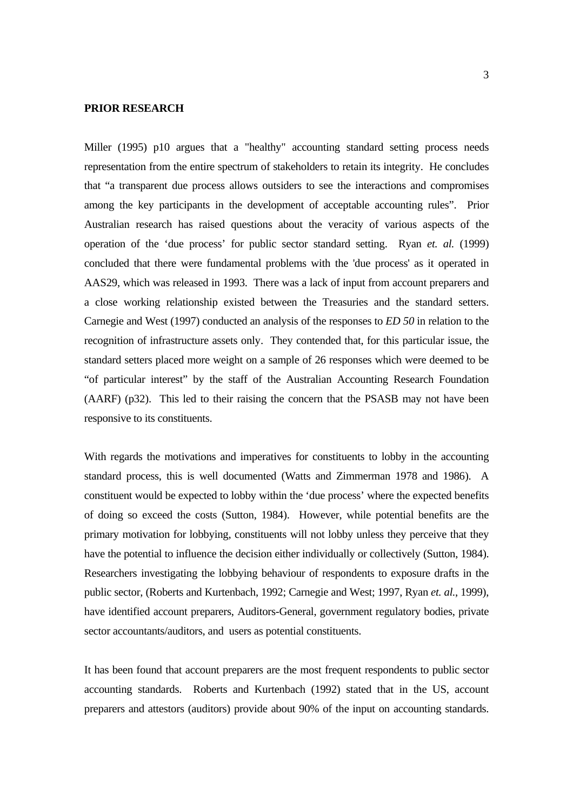#### **PRIOR RESEARCH**

Miller (1995) p10 argues that a "healthy" accounting standard setting process needs representation from the entire spectrum of stakeholders to retain its integrity. He concludes that "a transparent due process allows outsiders to see the interactions and compromises among the key participants in the development of acceptable accounting rules". Prior Australian research has raised questions about the veracity of various aspects of the operation of the 'due process' for public sector standard setting. Ryan *et. al.* (1999) concluded that there were fundamental problems with the 'due process' as it operated in AAS29, which was released in 1993. There was a lack of input from account preparers and a close working relationship existed between the Treasuries and the standard setters. Carnegie and West (1997) conducted an analysis of the responses to *ED 50* in relation to the recognition of infrastructure assets only. They contended that, for this particular issue, the standard setters placed more weight on a sample of 26 responses which were deemed to be "of particular interest" by the staff of the Australian Accounting Research Foundation (AARF) (p32). This led to their raising the concern that the PSASB may not have been responsive to its constituents.

With regards the motivations and imperatives for constituents to lobby in the accounting standard process, this is well documented (Watts and Zimmerman 1978 and 1986). A constituent would be expected to lobby within the 'due process' where the expected benefits of doing so exceed the costs (Sutton, 1984). However, while potential benefits are the primary motivation for lobbying, constituents will not lobby unless they perceive that they have the potential to influence the decision either individually or collectively (Sutton, 1984). Researchers investigating the lobbying behaviour of respondents to exposure drafts in the public sector, (Roberts and Kurtenbach, 1992; Carnegie and West; 1997, Ryan *et. al.*, 1999), have identified account preparers, Auditors-General, government regulatory bodies, private sector accountants/auditors, and users as potential constituents.

It has been found that account preparers are the most frequent respondents to public sector accounting standards. Roberts and Kurtenbach (1992) stated that in the US, account preparers and attestors (auditors) provide about 90% of the input on accounting standards.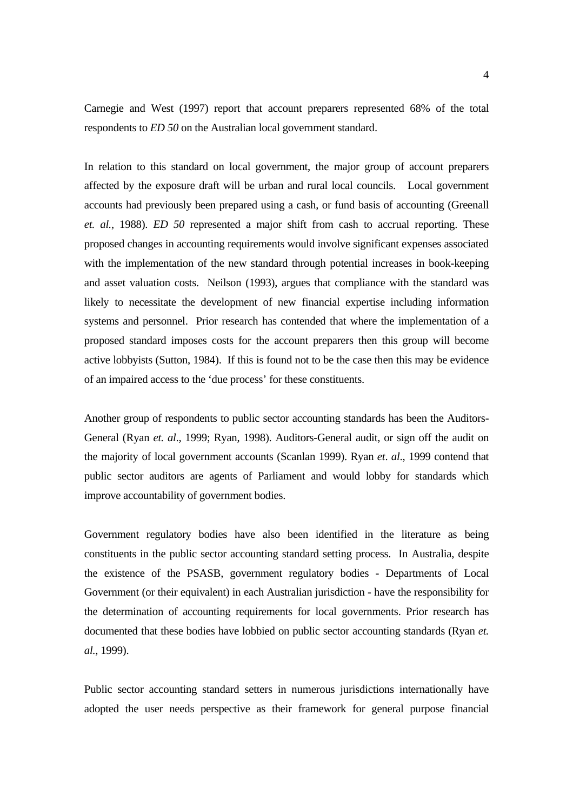Carnegie and West (1997) report that account preparers represented 68% of the total respondents to *ED 50* on the Australian local government standard.

In relation to this standard on local government, the major group of account preparers affected by the exposure draft will be urban and rural local councils. Local government accounts had previously been prepared using a cash, or fund basis of accounting (Greenall *et. al.*, 1988). *ED 50* represented a major shift from cash to accrual reporting. These proposed changes in accounting requirements would involve significant expenses associated with the implementation of the new standard through potential increases in book-keeping and asset valuation costs. Neilson (1993), argues that compliance with the standard was likely to necessitate the development of new financial expertise including information systems and personnel. Prior research has contended that where the implementation of a proposed standard imposes costs for the account preparers then this group will become active lobbyists (Sutton, 1984). If this is found not to be the case then this may be evidence of an impaired access to the 'due process' for these constituents.

Another group of respondents to public sector accounting standards has been the Auditors-General (Ryan *et. al*., 1999; Ryan, 1998). Auditors-General audit, or sign off the audit on the majority of local government accounts (Scanlan 1999). Ryan *et*. *al*., 1999 contend that public sector auditors are agents of Parliament and would lobby for standards which improve accountability of government bodies.

Government regulatory bodies have also been identified in the literature as being constituents in the public sector accounting standard setting process. In Australia, despite the existence of the PSASB, government regulatory bodies - Departments of Local Government (or their equivalent) in each Australian jurisdiction - have the responsibility for the determination of accounting requirements for local governments. Prior research has documented that these bodies have lobbied on public sector accounting standards (Ryan *et. al.*, 1999).

Public sector accounting standard setters in numerous jurisdictions internationally have adopted the user needs perspective as their framework for general purpose financial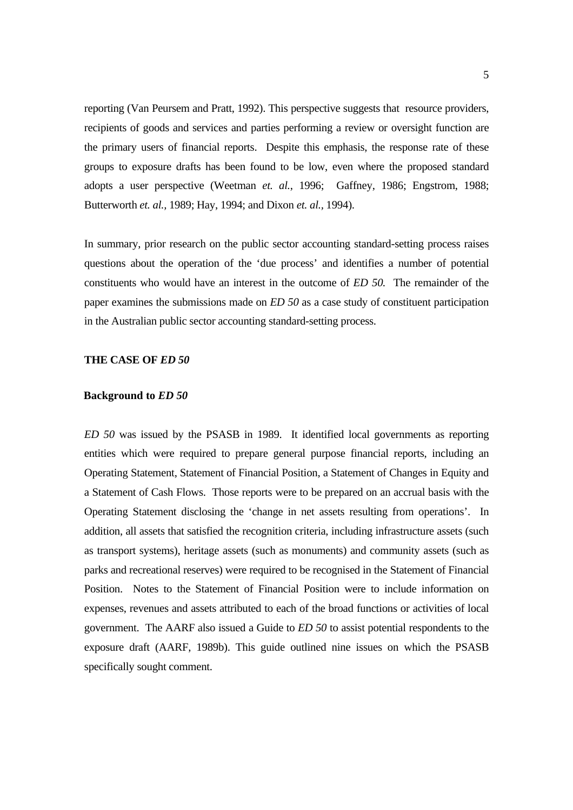reporting (Van Peursem and Pratt, 1992). This perspective suggests that resource providers, recipients of goods and services and parties performing a review or oversight function are the primary users of financial reports. Despite this emphasis, the response rate of these groups to exposure drafts has been found to be low, even where the proposed standard adopts a user perspective (Weetman *et. al.*, 1996; Gaffney, 1986; Engstrom, 1988; Butterworth *et. al.,* 1989; Hay, 1994; and Dixon *et. al.,* 1994).

In summary, prior research on the public sector accounting standard-setting process raises questions about the operation of the 'due process' and identifies a number of potential constituents who would have an interest in the outcome of *ED 50.* The remainder of the paper examines the submissions made on *ED 50* as a case study of constituent participation in the Australian public sector accounting standard-setting process.

#### **THE CASE OF** *ED 50*

#### **Background to** *ED 50*

*ED 50* was issued by the PSASB in 1989. It identified local governments as reporting entities which were required to prepare general purpose financial reports, including an Operating Statement, Statement of Financial Position, a Statement of Changes in Equity and a Statement of Cash Flows. Those reports were to be prepared on an accrual basis with the Operating Statement disclosing the 'change in net assets resulting from operations'. In addition, all assets that satisfied the recognition criteria, including infrastructure assets (such as transport systems), heritage assets (such as monuments) and community assets (such as parks and recreational reserves) were required to be recognised in the Statement of Financial Position. Notes to the Statement of Financial Position were to include information on expenses, revenues and assets attributed to each of the broad functions or activities of local government. The AARF also issued a Guide to *ED 50* to assist potential respondents to the exposure draft (AARF, 1989b). This guide outlined nine issues on which the PSASB specifically sought comment.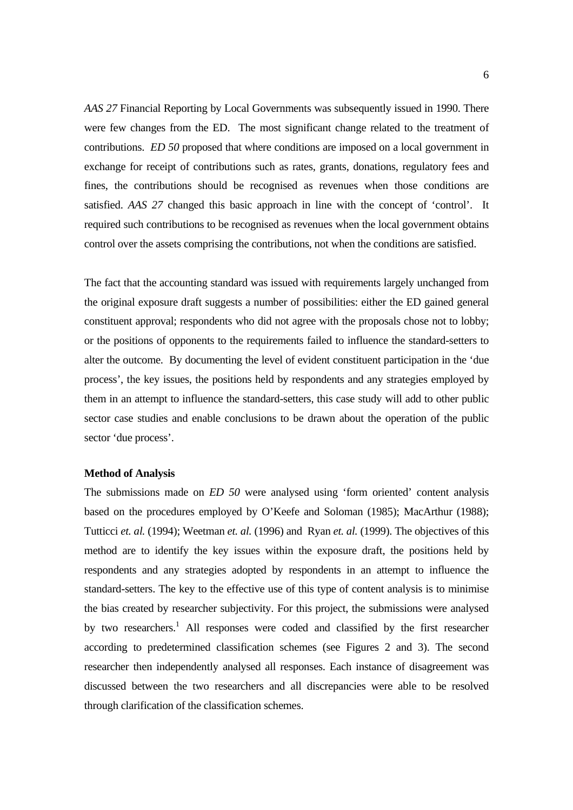*AAS 27* Financial Reporting by Local Governments was subsequently issued in 1990. There were few changes from the ED. The most significant change related to the treatment of contributions. *ED 50* proposed that where conditions are imposed on a local government in exchange for receipt of contributions such as rates, grants, donations, regulatory fees and fines, the contributions should be recognised as revenues when those conditions are satisfied. *AAS 27* changed this basic approach in line with the concept of 'control'. It required such contributions to be recognised as revenues when the local government obtains control over the assets comprising the contributions, not when the conditions are satisfied.

The fact that the accounting standard was issued with requirements largely unchanged from the original exposure draft suggests a number of possibilities: either the ED gained general constituent approval; respondents who did not agree with the proposals chose not to lobby; or the positions of opponents to the requirements failed to influence the standard-setters to alter the outcome. By documenting the level of evident constituent participation in the 'due process', the key issues, the positions held by respondents and any strategies employed by them in an attempt to influence the standard-setters, this case study will add to other public sector case studies and enable conclusions to be drawn about the operation of the public sector 'due process'.

#### **Method of Analysis**

The submissions made on *ED 50* were analysed using 'form oriented' content analysis based on the procedures employed by O'Keefe and Soloman (1985); MacArthur (1988); Tutticci *et. al.* (1994); Weetman *et. al.* (1996) and Ryan *et. al.* (1999). The objectives of this method are to identify the key issues within the exposure draft, the positions held by respondents and any strategies adopted by respondents in an attempt to influence the standard-setters. The key to the effective use of this type of content analysis is to minimise the bias created by researcher subjectivity. For this project, the submissions were analysed by two researchers.<sup>1</sup> All responses were coded and classified by the first researcher according to predetermined classification schemes (see Figures 2 and 3). The second researcher then independently analysed all responses. Each instance of disagreement was discussed between the two researchers and all discrepancies were able to be resolved through clarification of the classification schemes.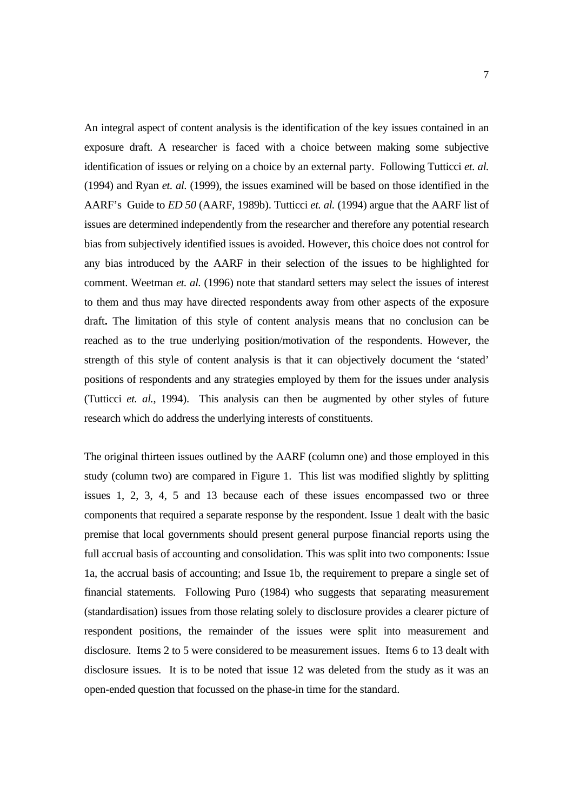An integral aspect of content analysis is the identification of the key issues contained in an exposure draft. A researcher is faced with a choice between making some subjective identification of issues or relying on a choice by an external party. Following Tutticci *et. al.* (1994) and Ryan *et. al.* (1999), the issues examined will be based on those identified in the AARF's Guide to *ED 50* (AARF, 1989b). Tutticci *et. al.* (1994) argue that the AARF list of issues are determined independently from the researcher and therefore any potential research bias from subjectively identified issues is avoided. However, this choice does not control for any bias introduced by the AARF in their selection of the issues to be highlighted for comment. Weetman *et. al.* (1996) note that standard setters may select the issues of interest to them and thus may have directed respondents away from other aspects of the exposure draft**.** The limitation of this style of content analysis means that no conclusion can be reached as to the true underlying position/motivation of the respondents. However, the strength of this style of content analysis is that it can objectively document the 'stated' positions of respondents and any strategies employed by them for the issues under analysis (Tutticci *et. al.*, 1994). This analysis can then be augmented by other styles of future research which do address the underlying interests of constituents.

The original thirteen issues outlined by the AARF (column one) and those employed in this study (column two) are compared in Figure 1. This list was modified slightly by splitting issues 1, 2, 3, 4, 5 and 13 because each of these issues encompassed two or three components that required a separate response by the respondent. Issue 1 dealt with the basic premise that local governments should present general purpose financial reports using the full accrual basis of accounting and consolidation. This was split into two components: Issue 1a, the accrual basis of accounting; and Issue 1b, the requirement to prepare a single set of financial statements. Following Puro (1984) who suggests that separating measurement (standardisation) issues from those relating solely to disclosure provides a clearer picture of respondent positions, the remainder of the issues were split into measurement and disclosure. Items 2 to 5 were considered to be measurement issues. Items 6 to 13 dealt with disclosure issues. It is to be noted that issue 12 was deleted from the study as it was an open-ended question that focussed on the phase-in time for the standard.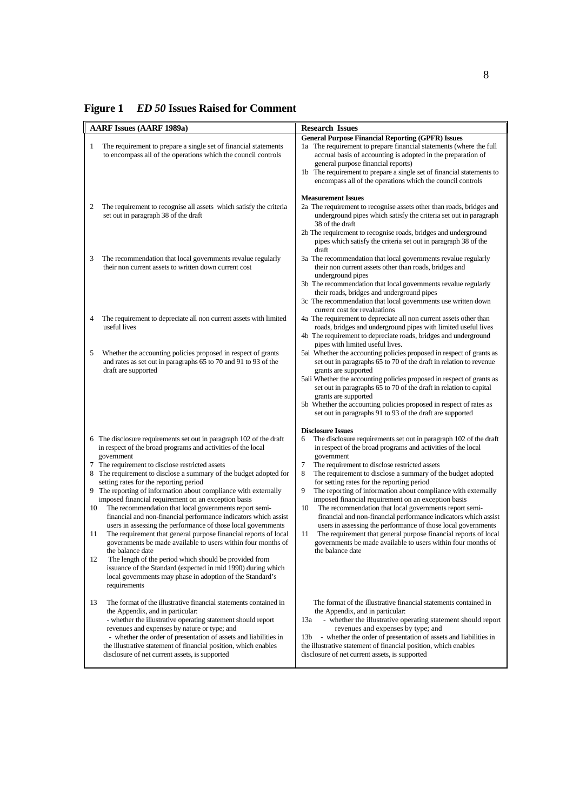**Figure 1** *ED 50* **Issues Raised for Comment** 

|                | <b>AARF Issues (AARF 1989a)</b>                                                                                                                                                                                                                                                                                                                                                                                                                                                                                                                                                                                                                                                                                                                                                                                                                                                                                                                                                                           | <b>Research Issues</b>                                                                                                                                                                                                                                                                                                                                                                                                                                                                                                                                                                                                                                                                                                                                                                                                                                 |
|----------------|-----------------------------------------------------------------------------------------------------------------------------------------------------------------------------------------------------------------------------------------------------------------------------------------------------------------------------------------------------------------------------------------------------------------------------------------------------------------------------------------------------------------------------------------------------------------------------------------------------------------------------------------------------------------------------------------------------------------------------------------------------------------------------------------------------------------------------------------------------------------------------------------------------------------------------------------------------------------------------------------------------------|--------------------------------------------------------------------------------------------------------------------------------------------------------------------------------------------------------------------------------------------------------------------------------------------------------------------------------------------------------------------------------------------------------------------------------------------------------------------------------------------------------------------------------------------------------------------------------------------------------------------------------------------------------------------------------------------------------------------------------------------------------------------------------------------------------------------------------------------------------|
| 1              | The requirement to prepare a single set of financial statements<br>to encompass all of the operations which the council controls                                                                                                                                                                                                                                                                                                                                                                                                                                                                                                                                                                                                                                                                                                                                                                                                                                                                          | <b>General Purpose Financial Reporting (GPFR) Issues</b><br>1a The requirement to prepare financial statements (where the full<br>accrual basis of accounting is adopted in the preparation of<br>general purpose financial reports)<br>1b The requirement to prepare a single set of financial statements to<br>encompass all of the operations which the council controls                                                                                                                                                                                                                                                                                                                                                                                                                                                                            |
| 2              | The requirement to recognise all assets which satisfy the criteria<br>set out in paragraph 38 of the draft                                                                                                                                                                                                                                                                                                                                                                                                                                                                                                                                                                                                                                                                                                                                                                                                                                                                                                | <b>Measurement Issues</b><br>2a The requirement to recognise assets other than roads, bridges and<br>underground pipes which satisfy the criteria set out in paragraph<br>38 of the draft<br>2b The requirement to recognise roads, bridges and underground<br>pipes which satisfy the criteria set out in paragraph 38 of the                                                                                                                                                                                                                                                                                                                                                                                                                                                                                                                         |
| 3              | The recommendation that local governments revalue regularly<br>their non current assets to written down current cost                                                                                                                                                                                                                                                                                                                                                                                                                                                                                                                                                                                                                                                                                                                                                                                                                                                                                      | draft<br>3a The recommendation that local governments revalue regularly<br>their non current assets other than roads, bridges and<br>underground pipes<br>3b The recommendation that local governments revalue regularly<br>their roads, bridges and underground pipes<br>3c The recommendation that local governments use written down<br>current cost for revaluations                                                                                                                                                                                                                                                                                                                                                                                                                                                                               |
| 4              | The requirement to depreciate all non current assets with limited<br>useful lives                                                                                                                                                                                                                                                                                                                                                                                                                                                                                                                                                                                                                                                                                                                                                                                                                                                                                                                         | 4a The requirement to depreciate all non current assets other than<br>roads, bridges and underground pipes with limited useful lives<br>4b The requirement to depreciate roads, bridges and underground                                                                                                                                                                                                                                                                                                                                                                                                                                                                                                                                                                                                                                                |
| 5              | Whether the accounting policies proposed in respect of grants<br>and rates as set out in paragraphs 65 to 70 and 91 to 93 of the<br>draft are supported                                                                                                                                                                                                                                                                                                                                                                                                                                                                                                                                                                                                                                                                                                                                                                                                                                                   | pipes with limited useful lives.<br>5ai Whether the accounting policies proposed in respect of grants as<br>set out in paragraphs 65 to 70 of the draft in relation to revenue<br>grants are supported<br>5aii Whether the accounting policies proposed in respect of grants as<br>set out in paragraphs 65 to 70 of the draft in relation to capital<br>grants are supported<br>5b Whether the accounting policies proposed in respect of rates as<br>set out in paragraphs 91 to 93 of the draft are supported                                                                                                                                                                                                                                                                                                                                       |
| 10<br>11<br>12 | 6 The disclosure requirements set out in paragraph 102 of the draft<br>in respect of the broad programs and activities of the local<br>government<br>7 The requirement to disclose restricted assets<br>8 The requirement to disclose a summary of the budget adopted for<br>setting rates for the reporting period<br>9 The reporting of information about compliance with externally<br>imposed financial requirement on an exception basis<br>The recommendation that local governments report semi-<br>financial and non-financial performance indicators which assist<br>users in assessing the performance of those local governments<br>The requirement that general purpose financial reports of local<br>governments be made available to users within four months of<br>the balance date<br>The length of the period which should be provided from<br>issuance of the Standard (expected in mid 1990) during which<br>local governments may phase in adoption of the Standard's<br>requirements | <b>Disclosure Issues</b><br>The disclosure requirements set out in paragraph 102 of the draft<br>6<br>in respect of the broad programs and activities of the local<br>government<br>7<br>The requirement to disclose restricted assets<br>8<br>The requirement to disclose a summary of the budget adopted<br>for setting rates for the reporting period<br>9<br>The reporting of information about compliance with externally<br>imposed financial requirement on an exception basis<br>The recommendation that local governments report semi-<br>10<br>financial and non-financial performance indicators which assist<br>users in assessing the performance of those local governments<br>11<br>The requirement that general purpose financial reports of local<br>governments be made available to users within four months of<br>the balance date |
| 13             | The format of the illustrative financial statements contained in<br>the Appendix, and in particular:<br>- whether the illustrative operating statement should report<br>revenues and expenses by nature or type; and<br>- whether the order of presentation of assets and liabilities in<br>the illustrative statement of financial position, which enables<br>disclosure of net current assets, is supported                                                                                                                                                                                                                                                                                                                                                                                                                                                                                                                                                                                             | The format of the illustrative financial statements contained in<br>the Appendix, and in particular:<br>- whether the illustrative operating statement should report<br>13a<br>revenues and expenses by type; and<br>- whether the order of presentation of assets and liabilities in<br>13b<br>the illustrative statement of financial position, which enables<br>disclosure of net current assets, is supported                                                                                                                                                                                                                                                                                                                                                                                                                                      |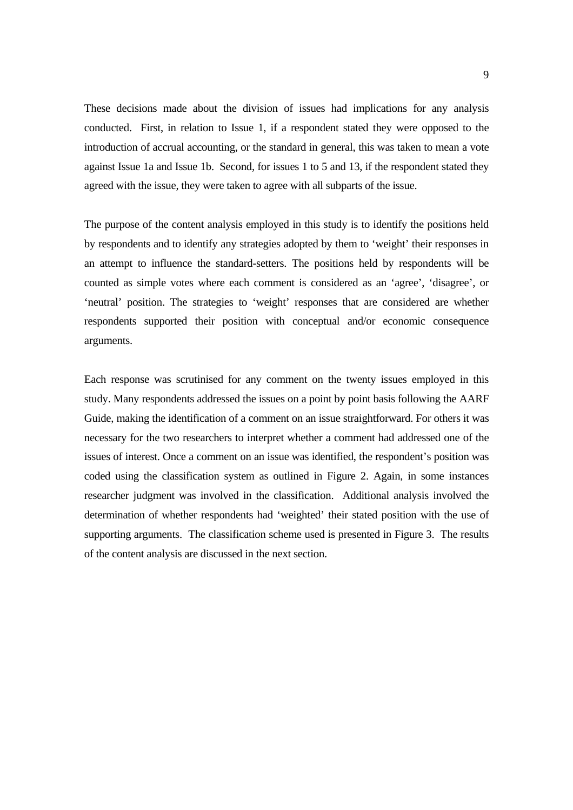These decisions made about the division of issues had implications for any analysis conducted. First, in relation to Issue 1, if a respondent stated they were opposed to the introduction of accrual accounting, or the standard in general, this was taken to mean a vote against Issue 1a and Issue 1b. Second, for issues 1 to 5 and 13, if the respondent stated they agreed with the issue, they were taken to agree with all subparts of the issue.

The purpose of the content analysis employed in this study is to identify the positions held by respondents and to identify any strategies adopted by them to 'weight' their responses in an attempt to influence the standard-setters. The positions held by respondents will be counted as simple votes where each comment is considered as an 'agree', 'disagree', or 'neutral' position. The strategies to 'weight' responses that are considered are whether respondents supported their position with conceptual and/or economic consequence arguments.

Each response was scrutinised for any comment on the twenty issues employed in this study. Many respondents addressed the issues on a point by point basis following the AARF Guide, making the identification of a comment on an issue straightforward. For others it was necessary for the two researchers to interpret whether a comment had addressed one of the issues of interest. Once a comment on an issue was identified, the respondent's position was coded using the classification system as outlined in Figure 2. Again, in some instances researcher judgment was involved in the classification. Additional analysis involved the determination of whether respondents had 'weighted' their stated position with the use of supporting arguments. The classification scheme used is presented in Figure 3. The results of the content analysis are discussed in the next section.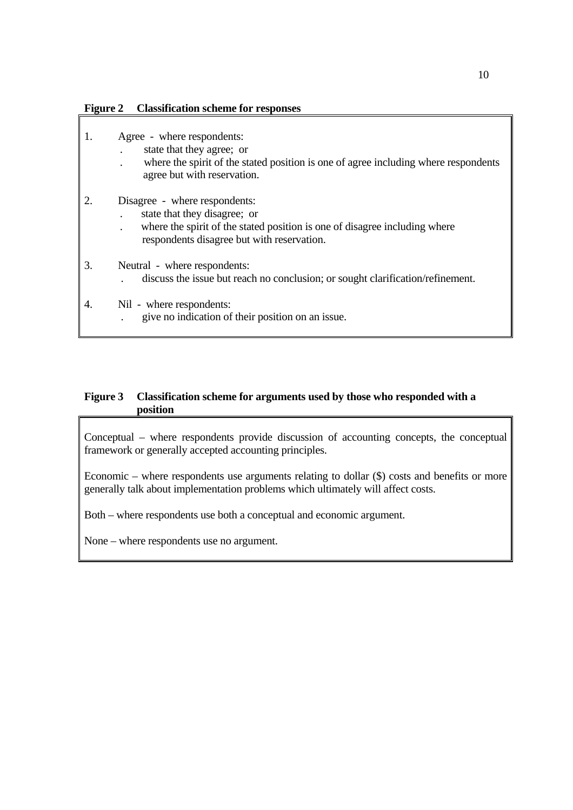| <b>Figure 2</b><br><b>Classification scheme for responses</b> |
|---------------------------------------------------------------|
|---------------------------------------------------------------|

- 1. Agree where respondents:
	- . state that they agree; or
		- . where the spirit of the stated position is one of agree including where respondents agree but with reservation.

## 2. Disagree - where respondents:

- . state that they disagree; or
- where the spirit of the stated position is one of disagree including where respondents disagree but with reservation.
- 3. Neutral where respondents:
	- . discuss the issue but reach no conclusion; or sought clarification/refinement.
- 4. Nil where respondents:
	- . give no indication of their position on an issue.

## **Figure 3 Classification scheme for arguments used by those who responded with a position**

Conceptual – where respondents provide discussion of accounting concepts, the conceptual framework or generally accepted accounting principles.

Economic – where respondents use arguments relating to dollar (\$) costs and benefits or more generally talk about implementation problems which ultimately will affect costs.

Both – where respondents use both a conceptual and economic argument.

None – where respondents use no argument.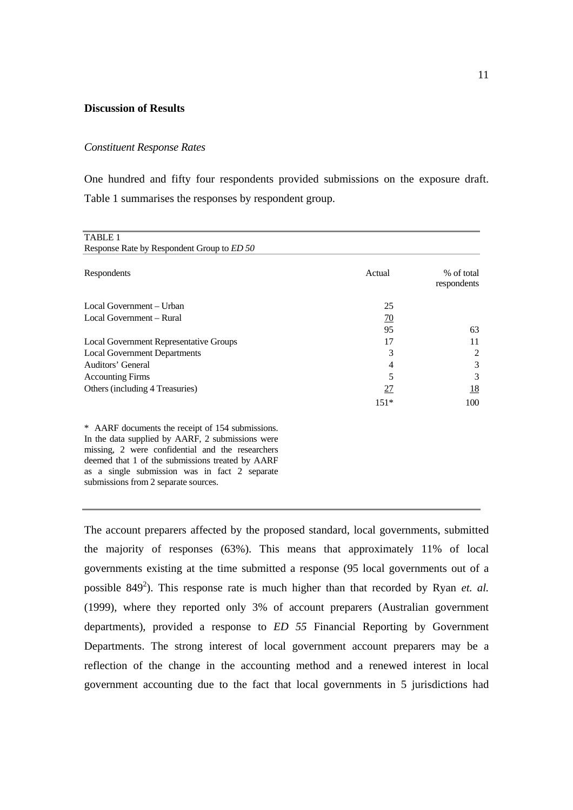#### **Discussion of Results**

### *Constituent Response Rates*

One hundred and fifty four respondents provided submissions on the exposure draft. Table 1 summarises the responses by respondent group.

| TABLE 1                                                                                                                                                                                                                                                       |                 |                           |
|---------------------------------------------------------------------------------------------------------------------------------------------------------------------------------------------------------------------------------------------------------------|-----------------|---------------------------|
| Response Rate by Respondent Group to <i>ED</i> 50                                                                                                                                                                                                             |                 |                           |
| Respondents                                                                                                                                                                                                                                                   | Actual          | % of total<br>respondents |
| Local Government - Urban                                                                                                                                                                                                                                      | 25              |                           |
| Local Government – Rural                                                                                                                                                                                                                                      | $\overline{20}$ |                           |
|                                                                                                                                                                                                                                                               | 95              | 63                        |
| Local Government Representative Groups                                                                                                                                                                                                                        | 17              | 11                        |
| <b>Local Government Departments</b>                                                                                                                                                                                                                           | 3               | 2                         |
| Auditors' General                                                                                                                                                                                                                                             | 4               | 3                         |
| <b>Accounting Firms</b>                                                                                                                                                                                                                                       | 5               | 3                         |
| Others (including 4 Treasuries)                                                                                                                                                                                                                               | 27              | <u>18</u>                 |
|                                                                                                                                                                                                                                                               | $151*$          | 100                       |
| * AARF documents the receipt of 154 submissions.<br>In the data supplied by AARF, 2 submissions were<br>missing, 2 were confidential and the researchers<br>deemed that 1 of the submissions treated by AARF<br>as a single submission was in fact 2 separate |                 |                           |

submissions from 2 separate sources.

The account preparers affected by the proposed standard, local governments, submitted the majority of responses (63%). This means that approximately 11% of local governments existing at the time submitted a response (95 local governments out of a possible 849<sup>2</sup>). This response rate is much higher than that recorded by Ryan *et. al.* (1999), where they reported only 3% of account preparers (Australian government departments), provided a response to *ED 55* Financial Reporting by Government Departments. The strong interest of local government account preparers may be a reflection of the change in the accounting method and a renewed interest in local government accounting due to the fact that local governments in 5 jurisdictions had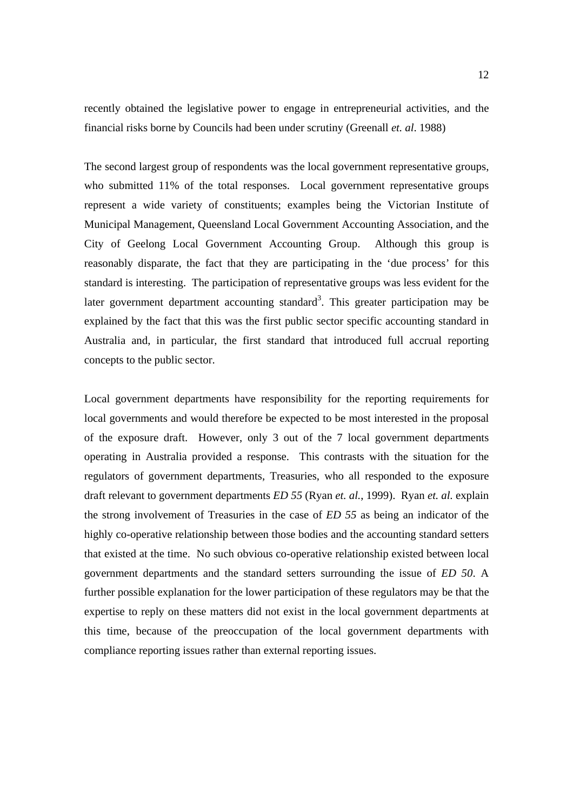recently obtained the legislative power to engage in entrepreneurial activities, and the financial risks borne by Councils had been under scrutiny (Greenall *et. al*. 1988)

The second largest group of respondents was the local government representative groups, who submitted 11% of the total responses. Local government representative groups represent a wide variety of constituents; examples being the Victorian Institute of Municipal Management, Queensland Local Government Accounting Association, and the City of Geelong Local Government Accounting Group. Although this group is reasonably disparate, the fact that they are participating in the 'due process' for this standard is interesting. The participation of representative groups was less evident for the later government department accounting standard<sup>3</sup>. This greater participation may be explained by the fact that this was the first public sector specific accounting standard in Australia and, in particular, the first standard that introduced full accrual reporting concepts to the public sector.

Local government departments have responsibility for the reporting requirements for local governments and would therefore be expected to be most interested in the proposal of the exposure draft. However, only 3 out of the 7 local government departments operating in Australia provided a response. This contrasts with the situation for the regulators of government departments, Treasuries, who all responded to the exposure draft relevant to government departments *ED 55* (Ryan *et. al.*, 1999). Ryan *et. al.* explain the strong involvement of Treasuries in the case of *ED 55* as being an indicator of the highly co-operative relationship between those bodies and the accounting standard setters that existed at the time. No such obvious co-operative relationship existed between local government departments and the standard setters surrounding the issue of *ED 50*. A further possible explanation for the lower participation of these regulators may be that the expertise to reply on these matters did not exist in the local government departments at this time, because of the preoccupation of the local government departments with compliance reporting issues rather than external reporting issues.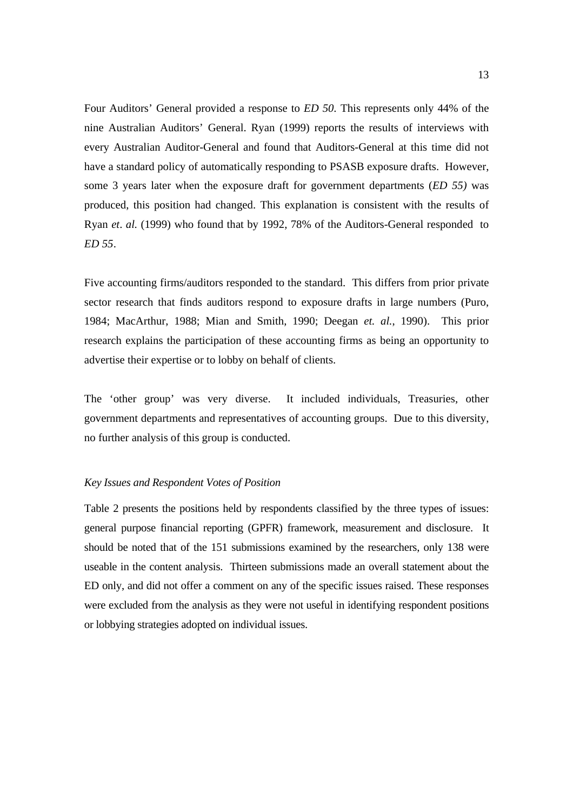Four Auditors' General provided a response to *ED 50.* This represents only 44% of the nine Australian Auditors' General. Ryan (1999) reports the results of interviews with every Australian Auditor-General and found that Auditors-General at this time did not have a standard policy of automatically responding to PSASB exposure drafts. However, some 3 years later when the exposure draft for government departments (*ED 55)* was produced, this position had changed. This explanation is consistent with the results of Ryan *et*. *al.* (1999) who found that by 1992, 78% of the Auditors-General responded to *ED 55*.

Five accounting firms/auditors responded to the standard. This differs from prior private sector research that finds auditors respond to exposure drafts in large numbers (Puro, 1984; MacArthur, 1988; Mian and Smith, 1990; Deegan *et. al.*, 1990). This prior research explains the participation of these accounting firms as being an opportunity to advertise their expertise or to lobby on behalf of clients.

The 'other group' was very diverse. It included individuals, Treasuries, other government departments and representatives of accounting groups. Due to this diversity, no further analysis of this group is conducted.

#### *Key Issues and Respondent Votes of Position*

Table 2 presents the positions held by respondents classified by the three types of issues: general purpose financial reporting (GPFR) framework, measurement and disclosure. It should be noted that of the 151 submissions examined by the researchers, only 138 were useable in the content analysis. Thirteen submissions made an overall statement about the ED only, and did not offer a comment on any of the specific issues raised. These responses were excluded from the analysis as they were not useful in identifying respondent positions or lobbying strategies adopted on individual issues.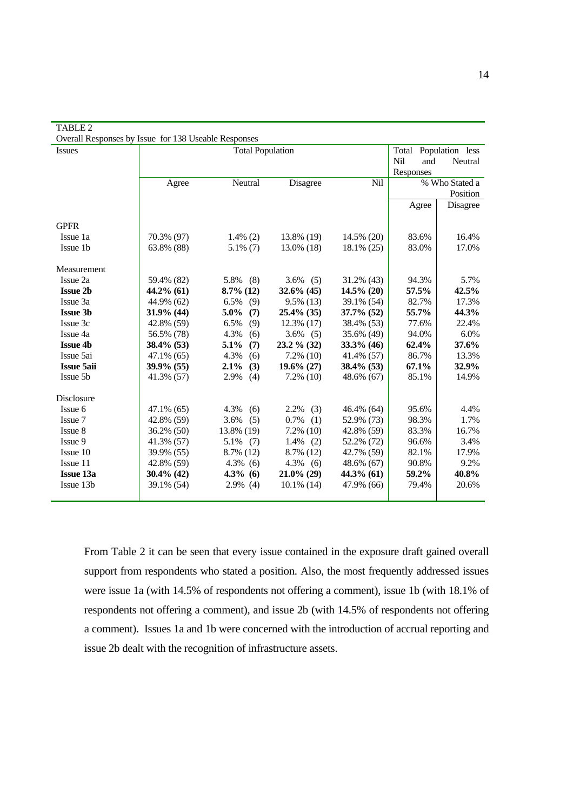| Overall Responses by Issue for 138 Useable Responses |               |                                                                    |                        |               |                            |          |  |
|------------------------------------------------------|---------------|--------------------------------------------------------------------|------------------------|---------------|----------------------------|----------|--|
| Issues                                               |               | Total Population less<br><b>Nil</b><br>Neutral<br>and<br>Responses |                        |               |                            |          |  |
|                                                      | Agree         | Neutral                                                            | Disagree<br><b>Nil</b> |               | % Who Stated a<br>Position |          |  |
|                                                      |               |                                                                    |                        |               | Agree                      | Disagree |  |
| <b>GPFR</b>                                          |               |                                                                    |                        |               |                            |          |  |
| Issue 1a                                             | 70.3% (97)    | $1.4\%$ (2)                                                        | 13.8% (19)             | $14.5\%$ (20) | 83.6%                      | 16.4%    |  |
| Issue 1b                                             | 63.8% (88)    | $5.1\%$ (7)                                                        | 13.0% (18)             | $18.1\% (25)$ | 83.0%                      | 17.0%    |  |
| Measurement                                          |               |                                                                    |                        |               |                            |          |  |
| Issue 2a                                             | 59.4% (82)    | 5.8% (8)                                                           | $3.6\%$ (5)            | $31.2\%$ (43) | 94.3%                      | 5.7%     |  |
| <b>Issue 2b</b>                                      | 44.2% (61)    | $8.7\%$ (12)                                                       | $32.6\%$ (45)          | $14.5\%$ (20) | 57.5%                      | 42.5%    |  |
| Issue 3a                                             | 44.9% (62)    | 6.5%<br>(9)                                                        | $9.5\%$ (13)           | 39.1% (54)    | 82.7%                      | 17.3%    |  |
| <b>Issue 3b</b>                                      | 31.9% (44)    | $5.0\%$<br>(7)                                                     | $25.4\%$ (35)          | 37.7% (52)    | 55.7%                      | 44.3%    |  |
| Issue 3c                                             | 42.8% (59)    | 6.5%<br>(9)                                                        | $12.3\%$ (17)          | 38.4% (53)    | 77.6%                      | 22.4%    |  |
| Issue 4a                                             | 56.5% (78)    | 4.3%<br>(6)                                                        | $3.6\%$ (5)            | 35.6% (49)    | 94.0%                      | 6.0%     |  |
| <b>Issue 4b</b>                                      | $38.4\%$ (53) | 5.1%<br>(7)                                                        | 23.2 % (32)            | $33.3\%$ (46) | 62.4%                      | 37.6%    |  |
| Issue 5ai                                            | 47.1% (65)    | 4.3%<br>(6)                                                        | $7.2\%$ (10)           | 41.4% (57)    | 86.7%                      | 13.3%    |  |
| <b>Issue 5aii</b>                                    | $39.9\%$ (55) | 2.1%<br>(3)                                                        | $19.6\% (27)$          | $38.4\%$ (53) | 67.1%                      | 32.9%    |  |
| Issue 5b                                             | 41.3% (57)    | 2.9%<br>(4)                                                        | $7.2\%$ (10)           | 48.6% (67)    | 85.1%                      | 14.9%    |  |
| Disclosure                                           |               |                                                                    |                        |               |                            |          |  |
| Issue 6                                              | 47.1% (65)    | 4.3%<br>(6)                                                        | $2.2\%$ (3)            | 46.4% (64)    | 95.6%                      | 4.4%     |  |
| Issue 7                                              | 42.8% (59)    | 3.6%<br>(5)                                                        | $0.7\%$ (1)            | 52.9% (73)    | 98.3%                      | 1.7%     |  |
| Issue 8                                              | 36.2% (50)    | 13.8% (19)                                                         | $7.2\%$ (10)           | 42.8% (59)    | 83.3%                      | 16.7%    |  |
| Issue 9                                              | 41.3% (57)    | $5.1\%$ (7)                                                        | $1.4\%$ (2)            | 52.2% (72)    | 96.6%                      | 3.4%     |  |
| Issue 10                                             | 39.9% (55)    | 8.7% (12)                                                          | 8.7% (12)              | 42.7% (59)    | 82.1%                      | 17.9%    |  |
| Issue 11                                             | 42.8% (59)    | $4.3\%$ (6)                                                        | $4.3\%$ (6)            | 48.6% (67)    | 90.8%                      | 9.2%     |  |
| <b>Issue 13a</b>                                     | $30.4\%$ (42) | $4.3\%$ (6)                                                        | $21.0\%$ (29)          | $44.3\%$ (61) | 59.2%                      | 40.8%    |  |
| Issue 13b                                            | 39.1% (54)    | $2.9\%$ (4)                                                        | $10.1\%$ (14)          | 47.9% (66)    | 79.4%                      | 20.6%    |  |

TABLE 2

From Table 2 it can be seen that every issue contained in the exposure draft gained overall support from respondents who stated a position. Also, the most frequently addressed issues were issue 1a (with 14.5% of respondents not offering a comment), issue 1b (with 18.1% of respondents not offering a comment), and issue 2b (with 14.5% of respondents not offering a comment). Issues 1a and 1b were concerned with the introduction of accrual reporting and issue 2b dealt with the recognition of infrastructure assets.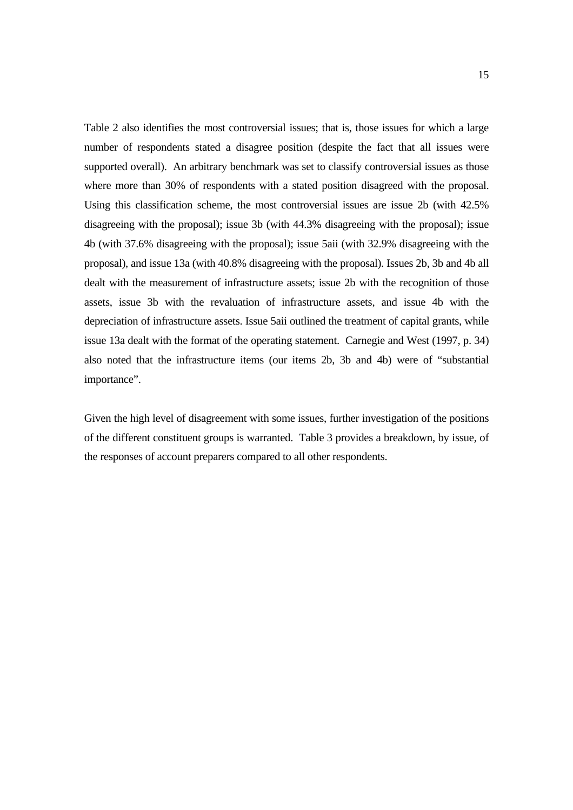Table 2 also identifies the most controversial issues; that is, those issues for which a large number of respondents stated a disagree position (despite the fact that all issues were supported overall). An arbitrary benchmark was set to classify controversial issues as those where more than 30% of respondents with a stated position disagreed with the proposal. Using this classification scheme, the most controversial issues are issue 2b (with 42.5% disagreeing with the proposal); issue 3b (with 44.3% disagreeing with the proposal); issue 4b (with 37.6% disagreeing with the proposal); issue 5aii (with 32.9% disagreeing with the proposal), and issue 13a (with 40.8% disagreeing with the proposal). Issues 2b, 3b and 4b all dealt with the measurement of infrastructure assets; issue 2b with the recognition of those assets, issue 3b with the revaluation of infrastructure assets, and issue 4b with the depreciation of infrastructure assets. Issue 5aii outlined the treatment of capital grants, while issue 13a dealt with the format of the operating statement. Carnegie and West (1997, p. 34) also noted that the infrastructure items (our items 2b, 3b and 4b) were of "substantial importance".

Given the high level of disagreement with some issues, further investigation of the positions of the different constituent groups is warranted. Table 3 provides a breakdown, by issue, of the responses of account preparers compared to all other respondents.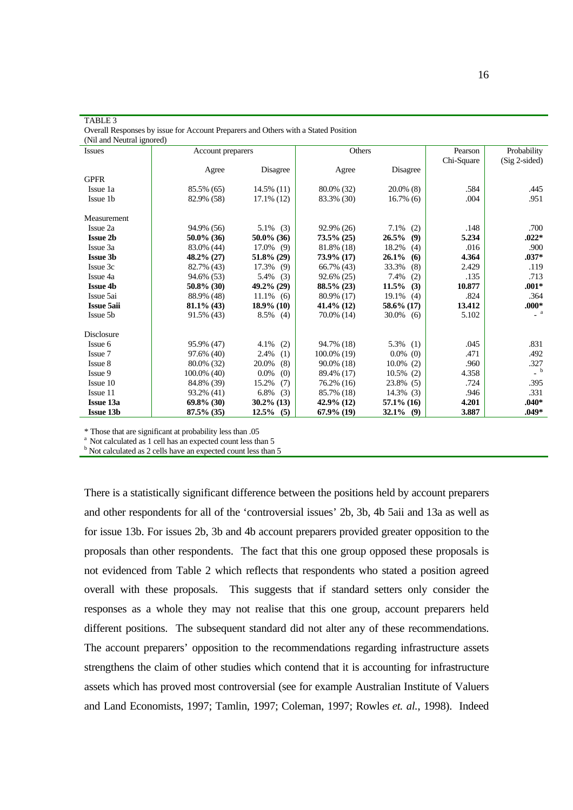| (Nil and Neutral ignored) |                   |               |               |                 |            |                                          |  |
|---------------------------|-------------------|---------------|---------------|-----------------|------------|------------------------------------------|--|
| <b>Issues</b>             | Account preparers |               | Others        |                 | Pearson    | Probability                              |  |
|                           |                   |               |               |                 | Chi-Square | $(Sig 2-sided)$                          |  |
|                           | Agree             | Disagree      | Agree         | Disagree        |            |                                          |  |
| <b>GPFR</b>               |                   |               |               |                 |            |                                          |  |
| Issue 1a                  | 85.5% (65)        | 14.5% (11)    | 80.0% (32)    | $20.0\%$ (8)    | .584       | .445                                     |  |
| Issue 1b                  | 82.9% (58)        | 17.1% (12)    | 83.3% (30)    | $16.7\%$ (6)    | .004       | .951                                     |  |
| Measurement               |                   |               |               |                 |            |                                          |  |
| Issue 2a                  | 94.9% (56)        | 5.1% $(3)$    | 92.9% (26)    | 7.1%<br>(2)     | .148       | .700                                     |  |
| <b>Issue 2b</b>           | 50.0% (36)        | $50.0\%$ (36) | $73.5\% (25)$ | $26.5\%$<br>(9) | 5.234      | $.022*$                                  |  |
| Issue 3a                  | 83.0% (44)        | 17.0% (9)     | 81.8% (18)    | 18.2%<br>(4)    | .016       | .900                                     |  |
| <b>Issue 3b</b>           | 48.2% (27)        | 51.8% (29)    | 73.9% (17)    | $26.1\%$<br>(6) | 4.364      | $.037*$                                  |  |
| Issue 3c                  | 82.7% (43)        | 17.3%<br>(9)  | 66.7% (43)    | 33.3%<br>(8)    | 2.429      | .119                                     |  |
| Issue 4a                  | 94.6% (53)        | $5.4\%$ (3)   | $92.6\%$ (25) | 7.4%<br>(2)     | .135       | .713                                     |  |
| <b>Issue 4b</b>           | 50.8% (30)        | 49.2% (29)    | 88.5% (23)    | $11.5\%$<br>(3) | 10.877     | $.001*$                                  |  |
| Issue 5ai                 | 88.9% (48)        | $11.1\%$ (6)  | 80.9% (17)    | $19.1\%$ (4)    | .824       | .364                                     |  |
| <b>Issue 5aii</b>         | $81.1\%$ (43)     | $18.9\%$ (10) | $41.4\%$ (12) | 58.6% (17)      | 13.412     | $.000*$                                  |  |
| Issue 5b                  | 91.5% (43)        | $8.5\%$ (4)   | 70.0% (14)    | $30.0\%$ (6)    | 5.102      | $\overline{\phantom{a}}^{\phantom{a}}$ a |  |
| <b>Disclosure</b>         |                   |               |               |                 |            |                                          |  |
| Issue 6                   | 95.9% (47)        | 4.1%<br>(2)   | 94.7% (18)    | $5.3\%$ (1)     | .045       | .831                                     |  |
| Issue 7                   | 97.6% (40)        | 2.4%<br>(1)   | 100.0% (19)   | $0.0\%$ (0)     | .471       | .492                                     |  |
| Issue 8                   | 80.0% (32)        | 20.0%<br>(8)  | 90.0% (18)    | $10.0\%$ (2)    | .960       | .327                                     |  |
| Issue 9                   | 100.0% (40)       | 0.0%<br>(0)   | 89.4% (17)    | $10.5\%$ (2)    | 4.358      | b                                        |  |
| Issue 10                  | 84.8% (39)        | 15.2%<br>(7)  | 76.2% (16)    | 23.8% (5)       | .724       | .395                                     |  |
| Issue 11                  | 93.2% (41)        | 6.8%<br>(3)   | 85.7% (18)    | $14.3\%$ (3)    | .946       | .331                                     |  |
| <b>Issue 13a</b>          | $69.8\%$ (30)     | $30.2\%$ (13) | 42.9% (12)    | 57.1% (16)      | 4.201      | $.040*$                                  |  |
| <b>Issue 13b</b>          | $87.5\%$ (35)     | $12.5\%$ (5)  | $67.9\%$ (19) | $32.1\%$ (9)    | 3.887      | .049*                                    |  |

TABLE 3

Overall Responses by issue for Account Preparers and Others with a Stated Position

\* Those that are significant at probability less than .05 a Not calculated as 1 cell has an expected count less than 5

<sup>b</sup> Not calculated as 2 cells have an expected count less than 5

There is a statistically significant difference between the positions held by account preparers and other respondents for all of the 'controversial issues' 2b, 3b, 4b 5aii and 13a as well as for issue 13b. For issues 2b, 3b and 4b account preparers provided greater opposition to the proposals than other respondents. The fact that this one group opposed these proposals is not evidenced from Table 2 which reflects that respondents who stated a position agreed overall with these proposals. This suggests that if standard setters only consider the responses as a whole they may not realise that this one group, account preparers held different positions. The subsequent standard did not alter any of these recommendations. The account preparers' opposition to the recommendations regarding infrastructure assets strengthens the claim of other studies which contend that it is accounting for infrastructure assets which has proved most controversial (see for example Australian Institute of Valuers and Land Economists, 1997; Tamlin, 1997; Coleman, 1997; Rowles *et. al.*, 1998). Indeed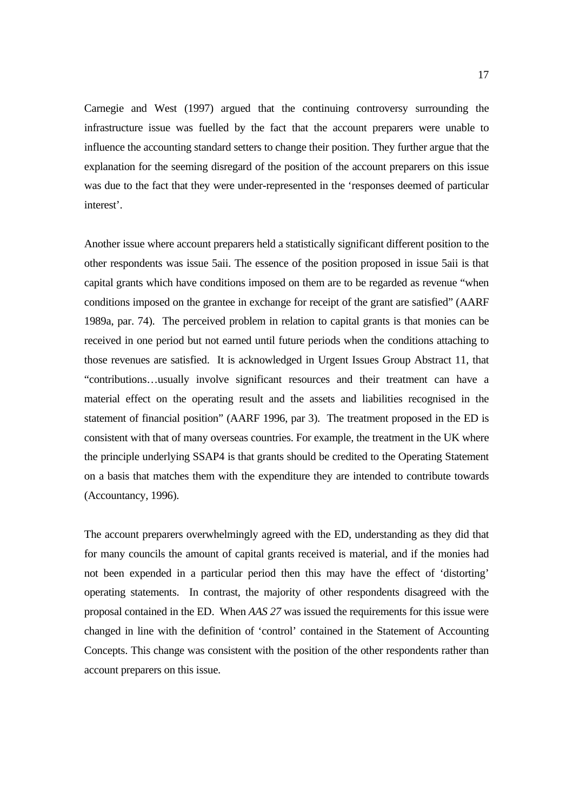Carnegie and West (1997) argued that the continuing controversy surrounding the infrastructure issue was fuelled by the fact that the account preparers were unable to influence the accounting standard setters to change their position. They further argue that the explanation for the seeming disregard of the position of the account preparers on this issue was due to the fact that they were under-represented in the 'responses deemed of particular interest'.

Another issue where account preparers held a statistically significant different position to the other respondents was issue 5aii. The essence of the position proposed in issue 5aii is that capital grants which have conditions imposed on them are to be regarded as revenue "when conditions imposed on the grantee in exchange for receipt of the grant are satisfied" (AARF 1989a, par. 74). The perceived problem in relation to capital grants is that monies can be received in one period but not earned until future periods when the conditions attaching to those revenues are satisfied. It is acknowledged in Urgent Issues Group Abstract 11, that "contributions…usually involve significant resources and their treatment can have a material effect on the operating result and the assets and liabilities recognised in the statement of financial position" (AARF 1996, par 3). The treatment proposed in the ED is consistent with that of many overseas countries. For example, the treatment in the UK where the principle underlying SSAP4 is that grants should be credited to the Operating Statement on a basis that matches them with the expenditure they are intended to contribute towards (Accountancy, 1996).

The account preparers overwhelmingly agreed with the ED, understanding as they did that for many councils the amount of capital grants received is material, and if the monies had not been expended in a particular period then this may have the effect of 'distorting' operating statements. In contrast, the majority of other respondents disagreed with the proposal contained in the ED. When *AAS 27* was issued the requirements for this issue were changed in line with the definition of 'control' contained in the Statement of Accounting Concepts. This change was consistent with the position of the other respondents rather than account preparers on this issue.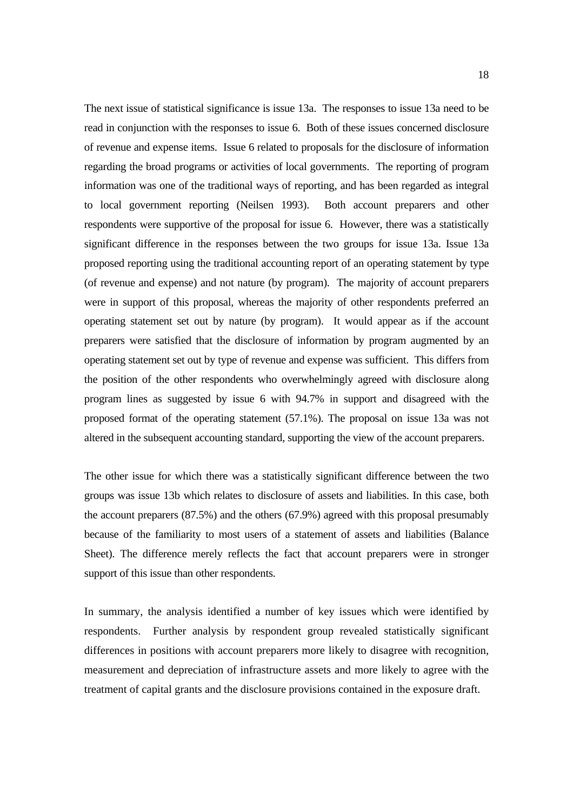The next issue of statistical significance is issue 13a. The responses to issue 13a need to be read in conjunction with the responses to issue 6. Both of these issues concerned disclosure of revenue and expense items. Issue 6 related to proposals for the disclosure of information regarding the broad programs or activities of local governments. The reporting of program information was one of the traditional ways of reporting, and has been regarded as integral to local government reporting (Neilsen 1993). Both account preparers and other respondents were supportive of the proposal for issue 6. However, there was a statistically significant difference in the responses between the two groups for issue 13a. Issue 13a proposed reporting using the traditional accounting report of an operating statement by type (of revenue and expense) and not nature (by program). The majority of account preparers were in support of this proposal, whereas the majority of other respondents preferred an operating statement set out by nature (by program). It would appear as if the account preparers were satisfied that the disclosure of information by program augmented by an operating statement set out by type of revenue and expense was sufficient. This differs from the position of the other respondents who overwhelmingly agreed with disclosure along program lines as suggested by issue 6 with 94.7% in support and disagreed with the proposed format of the operating statement (57.1%). The proposal on issue 13a was not altered in the subsequent accounting standard, supporting the view of the account preparers.

The other issue for which there was a statistically significant difference between the two groups was issue 13b which relates to disclosure of assets and liabilities. In this case, both the account preparers (87.5%) and the others (67.9%) agreed with this proposal presumably because of the familiarity to most users of a statement of assets and liabilities (Balance Sheet). The difference merely reflects the fact that account preparers were in stronger support of this issue than other respondents.

In summary, the analysis identified a number of key issues which were identified by respondents. Further analysis by respondent group revealed statistically significant differences in positions with account preparers more likely to disagree with recognition, measurement and depreciation of infrastructure assets and more likely to agree with the treatment of capital grants and the disclosure provisions contained in the exposure draft.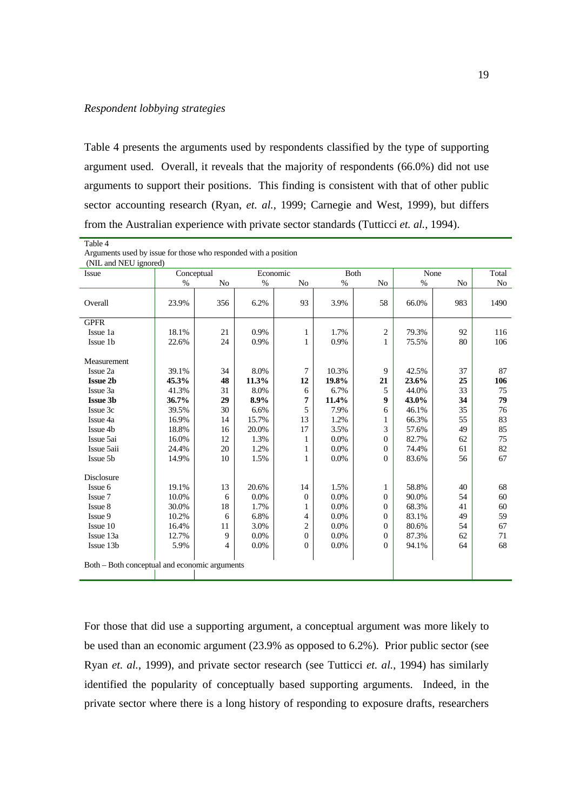Table 4 presents the arguments used by respondents classified by the type of supporting argument used. Overall, it reveals that the majority of respondents (66.0%) did not use arguments to support their positions. This finding is consistent with that of other public sector accounting research (Ryan, *et. al.*, 1999; Carnegie and West, 1999), but differs from the Australian experience with private sector standards (Tutticci *et. al.*, 1994).

| Arguments used by issue for those who responded with a position<br>(NIL and NEU ignored) |            |     |       |                |         |                |       |     |       |
|------------------------------------------------------------------------------------------|------------|-----|-------|----------------|---------|----------------|-------|-----|-------|
| <b>Issue</b>                                                                             | Conceptual |     |       | Economic       |         | Both           | None  |     | Total |
|                                                                                          | $\%$       | No  | $\%$  | N <sub>o</sub> | $\%$    | No             | %     | No  | No    |
| Overall                                                                                  | 23.9%      | 356 | 6.2%  | 93             | 3.9%    | 58             | 66.0% | 983 | 1490  |
| <b>GPFR</b>                                                                              |            |     |       |                |         |                |       |     |       |
| Issue 1a                                                                                 | 18.1%      | 21  | 0.9%  | 1              | 1.7%    | 2              | 79.3% | 92  | 116   |
| Issue 1b                                                                                 | 22.6%      | 24  | 0.9%  | 1              | 0.9%    | $\mathbf{1}$   | 75.5% | 80  | 106   |
| Measurement                                                                              |            |     |       |                |         |                |       |     |       |
| Issue 2a                                                                                 | 39.1%      | 34  | 8.0%  | $\tau$         | 10.3%   | 9              | 42.5% | 37  | 87    |
| <b>Issue 2b</b>                                                                          | 45.3%      | 48  | 11.3% | 12             | 19.8%   | 21             | 23.6% | 25  | 106   |
| Issue 3a                                                                                 | 41.3%      | 31  | 8.0%  | 6              | 6.7%    | 5              | 44.0% | 33  | 75    |
| <b>Issue 3b</b>                                                                          | 36.7%      | 29  | 8.9%  | 7              | 11.4%   | 9              | 43.0% | 34  | 79    |
| Issue 3c                                                                                 | 39.5%      | 30  | 6.6%  | 5              | 7.9%    | 6              | 46.1% | 35  | 76    |
| Issue 4a                                                                                 | 16.9%      | 14  | 15.7% | 13             | 1.2%    | 1              | 66.3% | 55  | 83    |
| Issue 4b                                                                                 | 18.8%      | 16  | 20.0% | 17             | 3.5%    | 3              | 57.6% | 49  | 85    |
| Issue 5ai                                                                                | 16.0%      | 12  | 1.3%  | 1              | 0.0%    | $\theta$       | 82.7% | 62  | 75    |
| Issue 5aii                                                                               | 24.4%      | 20  | 1.2%  | 1              | 0.0%    | $\mathbf{0}$   | 74.4% | 61  | 82    |
| Issue 5b                                                                                 | 14.9%      | 10  | 1.5%  | 1              | 0.0%    | $\Omega$       | 83.6% | 56  | 67    |
| <b>Disclosure</b>                                                                        |            |     |       |                |         |                |       |     |       |
| Issue 6                                                                                  | 19.1%      | 13  | 20.6% | 14             | 1.5%    | 1              | 58.8% | 40  | 68    |
| Issue 7                                                                                  | 10.0%      | 6   | 0.0%  | $\mathbf{0}$   | 0.0%    | $\overline{0}$ | 90.0% | 54  | 60    |
| Issue 8                                                                                  | 30.0%      | 18  | 1.7%  | 1              | 0.0%    | $\Omega$       | 68.3% | 41  | 60    |
| Issue 9                                                                                  | 10.2%      | 6   | 6.8%  | $\overline{4}$ | 0.0%    | $\Omega$       | 83.1% | 49  | 59    |
| Issue 10                                                                                 | 16.4%      | 11  | 3.0%  | $\overline{c}$ | 0.0%    | $\Omega$       | 80.6% | 54  | 67    |
| Issue 13a                                                                                | 12.7%      | 9   | 0.0%  | $\Omega$       | $0.0\%$ | $\theta$       | 87.3% | 62  | 71    |
| Issue 13b                                                                                | 5.9%       | 4   | 0.0%  | $\Omega$       | 0.0%    | $\Omega$       | 94.1% | 64  | 68    |
| Both - Both conceptual and economic arguments                                            |            |     |       |                |         |                |       |     |       |

Table 4 Arguments used by issue for those who responded with a position

For those that did use a supporting argument, a conceptual argument was more likely to be used than an economic argument (23.9% as opposed to 6.2%). Prior public sector (see Ryan *et. al.*, 1999), and private sector research (see Tutticci *et. al.*, 1994) has similarly identified the popularity of conceptually based supporting arguments. Indeed, in the private sector where there is a long history of responding to exposure drafts, researchers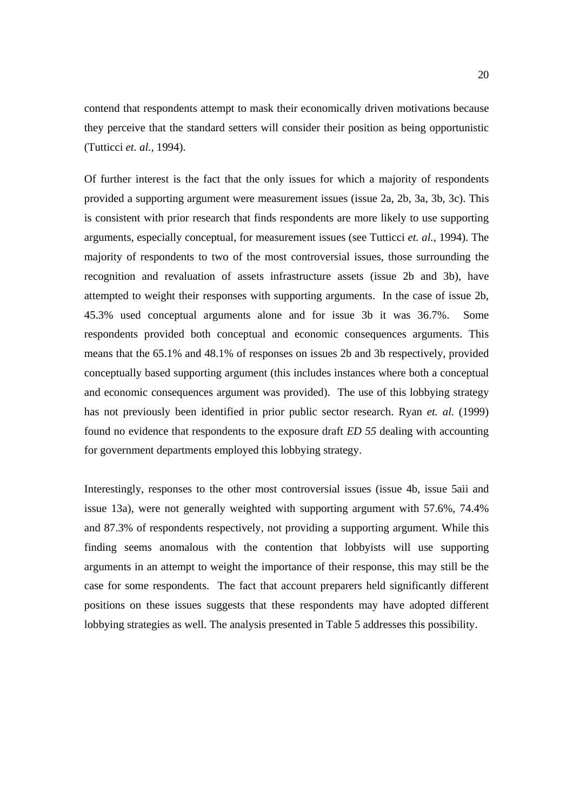contend that respondents attempt to mask their economically driven motivations because they perceive that the standard setters will consider their position as being opportunistic (Tutticci *et. al.*, 1994).

Of further interest is the fact that the only issues for which a majority of respondents provided a supporting argument were measurement issues (issue 2a, 2b, 3a, 3b, 3c). This is consistent with prior research that finds respondents are more likely to use supporting arguments, especially conceptual, for measurement issues (see Tutticci *et. al.*, 1994). The majority of respondents to two of the most controversial issues, those surrounding the recognition and revaluation of assets infrastructure assets (issue 2b and 3b), have attempted to weight their responses with supporting arguments. In the case of issue 2b, 45.3% used conceptual arguments alone and for issue 3b it was 36.7%. Some respondents provided both conceptual and economic consequences arguments. This means that the 65.1% and 48.1% of responses on issues 2b and 3b respectively, provided conceptually based supporting argument (this includes instances where both a conceptual and economic consequences argument was provided). The use of this lobbying strategy has not previously been identified in prior public sector research. Ryan *et. al.* (1999) found no evidence that respondents to the exposure draft *ED 55* dealing with accounting for government departments employed this lobbying strategy.

Interestingly, responses to the other most controversial issues (issue 4b, issue 5aii and issue 13a), were not generally weighted with supporting argument with 57.6%, 74.4% and 87.3% of respondents respectively, not providing a supporting argument. While this finding seems anomalous with the contention that lobbyists will use supporting arguments in an attempt to weight the importance of their response, this may still be the case for some respondents. The fact that account preparers held significantly different positions on these issues suggests that these respondents may have adopted different lobbying strategies as well. The analysis presented in Table 5 addresses this possibility.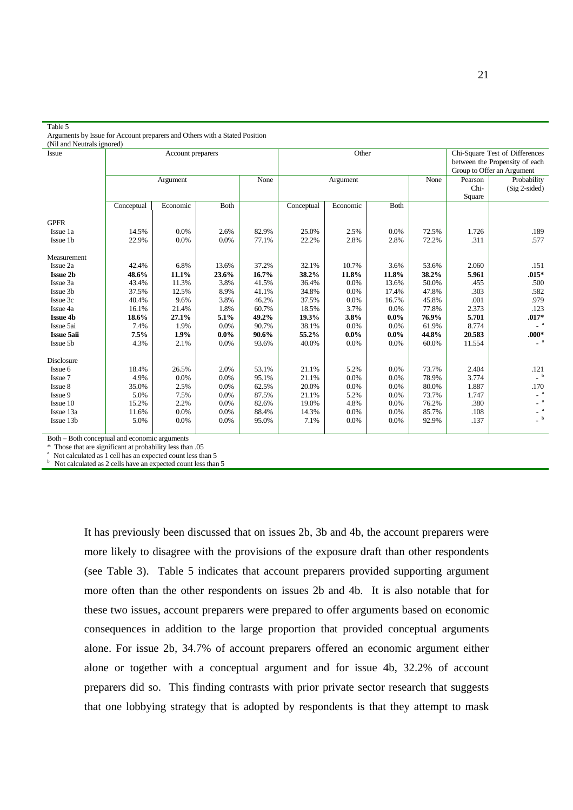Arguments by Issue for Account preparers and Others with a Stated Position

(Nil and Neutrals ignored)

| $\ldots$ and $\ldots$ beauting $\ldots$ |            |                   |         |                  |            |          |                                |                            |               |                                             |  |  |
|-----------------------------------------|------------|-------------------|---------|------------------|------------|----------|--------------------------------|----------------------------|---------------|---------------------------------------------|--|--|
| <b>Issue</b>                            |            | Account preparers |         |                  |            | Other    | Chi-Square Test of Differences |                            |               |                                             |  |  |
|                                         |            |                   |         |                  |            |          |                                |                            |               | between the Propensity of each              |  |  |
|                                         |            |                   |         |                  |            |          |                                | Group to Offer an Argument |               |                                             |  |  |
|                                         | Argument   |                   |         | None<br>Argument |            | None     | Pearson                        | Probability                |               |                                             |  |  |
|                                         |            |                   |         |                  |            |          |                                | Chi-                       | (Sig 2-sided) |                                             |  |  |
|                                         |            |                   |         |                  |            |          |                                | Square                     |               |                                             |  |  |
|                                         | Conceptual | Economic          | Both    |                  | Conceptual | Economic | Both                           |                            |               |                                             |  |  |
| <b>GPFR</b>                             |            |                   |         |                  |            |          |                                |                            |               |                                             |  |  |
| Issue 1a                                | 14.5%      | 0.0%              | 2.6%    | 82.9%            | 25.0%      | 2.5%     | 0.0%                           | 72.5%                      | 1.726         | .189                                        |  |  |
| Issue 1b                                | 22.9%      | 0.0%              | 0.0%    | 77.1%            | 22.2%      | 2.8%     | 2.8%                           | 72.2%                      | .311          | .577                                        |  |  |
|                                         |            |                   |         |                  |            |          |                                |                            |               |                                             |  |  |
| Measurement                             |            |                   |         |                  |            |          |                                |                            |               |                                             |  |  |
| Issue 2a                                | 42.4%      | 6.8%              | 13.6%   | 37.2%            | 32.1%      | 10.7%    | 3.6%                           | 53.6%                      | 2.060         | .151                                        |  |  |
| <b>Issue 2b</b>                         | 48.6%      | 11.1%             | 23.6%   | 16.7%            | 38.2%      | 11.8%    | 11.8%                          | 38.2%                      | 5.961         | $.015*$                                     |  |  |
| Issue 3a                                | 43.4%      | 11.3%             | 3.8%    | 41.5%            | 36.4%      | 0.0%     | 13.6%                          | 50.0%                      | .455          | .500                                        |  |  |
| Issue 3b                                | 37.5%      | 12.5%             | 8.9%    | 41.1%            | 34.8%      | 0.0%     | 17.4%                          | 47.8%                      | .303          | .582                                        |  |  |
| Issue 3c                                | 40.4%      | 9.6%              | 3.8%    | 46.2%            | 37.5%      | 0.0%     | 16.7%                          | 45.8%                      | .001          | .979                                        |  |  |
| Issue 4a                                | 16.1%      | 21.4%             | 1.8%    | 60.7%            | 18.5%      | 3.7%     | $0.0\%$                        | 77.8%                      | 2.373         | .123                                        |  |  |
| <b>Issue 4b</b>                         | 18.6%      | 27.1%             | 5.1%    | 49.2%            | 19.3%      | 3.8%     | $0.0\%$                        | 76.9%                      | 5.701         | $.017*$                                     |  |  |
| Issue 5ai                               | 7.4%       | 1.9%              | 0.0%    | 90.7%            | 38.1%      | 0.0%     | 0.0%                           | 61.9%                      | 8.774         |                                             |  |  |
| <b>Issue 5aii</b>                       | 7.5%       | 1.9%              | $0.0\%$ | 90.6%            | 55.2%      | $0.0\%$  | $0.0\%$                        | 44.8%                      | 20.583        | $.000*$                                     |  |  |
| Issue 5b                                | 4.3%       | 2.1%              | 0.0%    | 93.6%            | 40.0%      | 0.0%     | 0.0%                           | 60.0%                      | 11.554        | $\hspace{0.1cm}$ - $\hspace{0.1cm}^{\rm a}$ |  |  |
| Disclosure                              |            |                   |         |                  |            |          |                                |                            |               |                                             |  |  |
| Issue 6                                 | 18.4%      | 26.5%             | 2.0%    | 53.1%            | 21.1%      | 5.2%     | 0.0%                           | 73.7%                      | 2.404         |                                             |  |  |
| Issue 7                                 | 4.9%       | 0.0%              | 0.0%    | 95.1%            | 21.1%      | 0.0%     | 0.0%                           | 78.9%                      | 3.774         | $.121$ <sub>b</sub>                         |  |  |
| Issue 8                                 | 35.0%      | 2.5%              | 0.0%    | 62.5%            | 20.0%      | 0.0%     | $0.0\%$                        | 80.0%                      | 1.887         | .170                                        |  |  |
| Issue 9                                 | 5.0%       | 7.5%              | 0.0%    | 87.5%            | 21.1%      | 5.2%     | 0.0%                           | 73.7%                      | 1.747         | $\overline{\phantom{a}}^{\phantom{a}a}$     |  |  |
| Issue 10                                | 15.2%      | 2.2%              | 0.0%    | 82.6%            | 19.0%      | 4.8%     | 0.0%                           | 76.2%                      | .380          | $\mathbb{L}^{-\mathbf{a}}$                  |  |  |
| Issue 13a                               | 11.6%      | 0.0%              | 0.0%    | 88.4%            | 14.3%      | 0.0%     | 0.0%                           | 85.7%                      | .108          | $\overline{\phantom{a}}^{\phantom{a}a}$     |  |  |
| Issue 13b                               | 5.0%       | 0.0%              | 0.0%    | 95.0%            | 7.1%       | 0.0%     | 0.0%                           | 92.9%                      | .137          | $\overline{b}$                              |  |  |
|                                         |            |                   |         |                  |            |          |                                |                            |               |                                             |  |  |

Both – Both conceptual and economic arguments

\* Those that are significant at probability less than .05

Not calculated as 1 cell has an expected count less than 5

b Not calculated as 2 cells have an expected count less than 5

> It has previously been discussed that on issues 2b, 3b and 4b, the account preparers were more likely to disagree with the provisions of the exposure draft than other respondents (see Table 3). Table 5 indicates that account preparers provided supporting argument more often than the other respondents on issues 2b and 4b. It is also notable that for these two issues, account preparers were prepared to offer arguments based on economic consequences in addition to the large proportion that provided conceptual arguments alone. For issue 2b, 34.7% of account preparers offered an economic argument either alone or together with a conceptual argument and for issue 4b, 32.2% of account preparers did so. This finding contrasts with prior private sector research that suggests that one lobbying strategy that is adopted by respondents is that they attempt to mask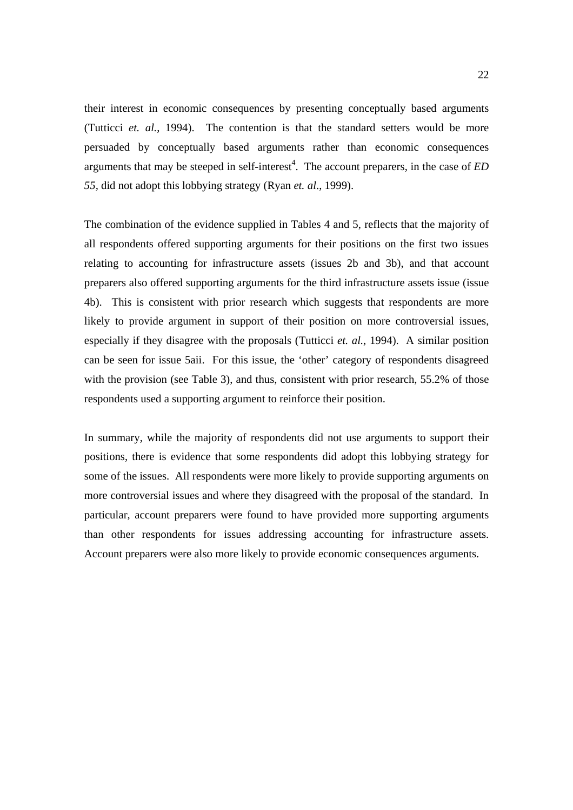their interest in economic consequences by presenting conceptually based arguments (Tutticci *et. al.*, 1994). The contention is that the standard setters would be more persuaded by conceptually based arguments rather than economic consequences arguments that may be steeped in self-interest<sup>4</sup>. The account preparers, in the case of  $ED$ *55,* did not adopt this lobbying strategy (Ryan *et. al*., 1999).

The combination of the evidence supplied in Tables 4 and 5, reflects that the majority of all respondents offered supporting arguments for their positions on the first two issues relating to accounting for infrastructure assets (issues 2b and 3b), and that account preparers also offered supporting arguments for the third infrastructure assets issue (issue 4b). This is consistent with prior research which suggests that respondents are more likely to provide argument in support of their position on more controversial issues, especially if they disagree with the proposals (Tutticci *et. al.*, 1994). A similar position can be seen for issue 5aii. For this issue, the 'other' category of respondents disagreed with the provision (see Table 3), and thus, consistent with prior research, 55.2% of those respondents used a supporting argument to reinforce their position.

In summary, while the majority of respondents did not use arguments to support their positions, there is evidence that some respondents did adopt this lobbying strategy for some of the issues. All respondents were more likely to provide supporting arguments on more controversial issues and where they disagreed with the proposal of the standard. In particular, account preparers were found to have provided more supporting arguments than other respondents for issues addressing accounting for infrastructure assets. Account preparers were also more likely to provide economic consequences arguments.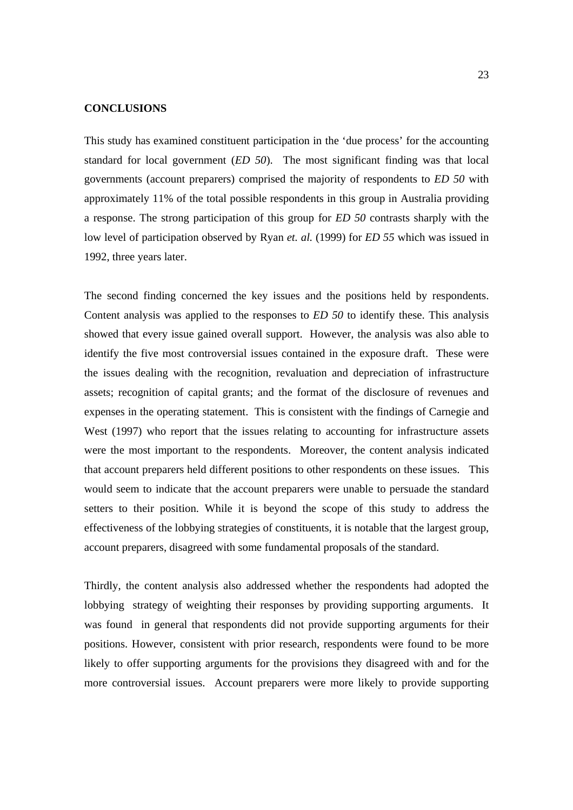#### **CONCLUSIONS**

This study has examined constituent participation in the 'due process' for the accounting standard for local government (*ED 50*). The most significant finding was that local governments (account preparers) comprised the majority of respondents to *ED 50* with approximately 11% of the total possible respondents in this group in Australia providing a response. The strong participation of this group for *ED 50* contrasts sharply with the low level of participation observed by Ryan *et. al.* (1999) for *ED 55* which was issued in 1992, three years later.

The second finding concerned the key issues and the positions held by respondents. Content analysis was applied to the responses to *ED 50* to identify these. This analysis showed that every issue gained overall support. However, the analysis was also able to identify the five most controversial issues contained in the exposure draft. These were the issues dealing with the recognition, revaluation and depreciation of infrastructure assets; recognition of capital grants; and the format of the disclosure of revenues and expenses in the operating statement. This is consistent with the findings of Carnegie and West (1997) who report that the issues relating to accounting for infrastructure assets were the most important to the respondents. Moreover, the content analysis indicated that account preparers held different positions to other respondents on these issues. This would seem to indicate that the account preparers were unable to persuade the standard setters to their position. While it is beyond the scope of this study to address the effectiveness of the lobbying strategies of constituents, it is notable that the largest group, account preparers, disagreed with some fundamental proposals of the standard.

Thirdly, the content analysis also addressed whether the respondents had adopted the lobbying strategy of weighting their responses by providing supporting arguments. It was found in general that respondents did not provide supporting arguments for their positions. However, consistent with prior research, respondents were found to be more likely to offer supporting arguments for the provisions they disagreed with and for the more controversial issues. Account preparers were more likely to provide supporting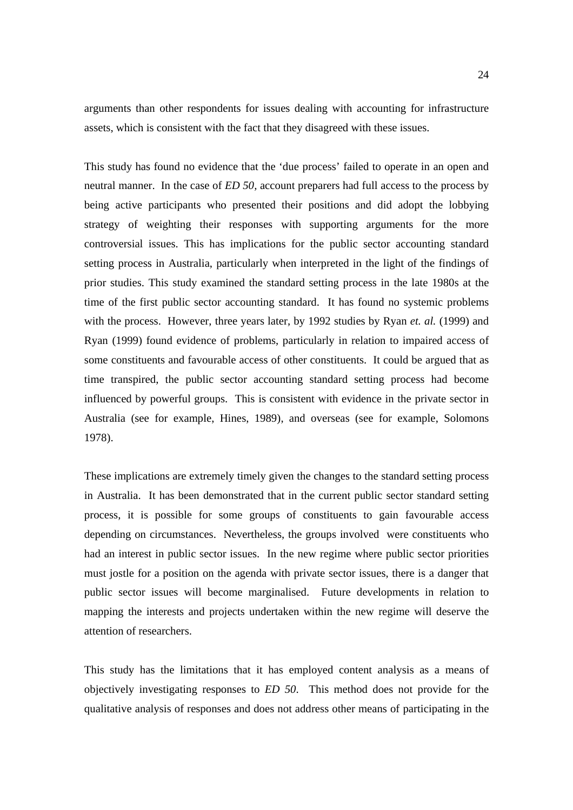arguments than other respondents for issues dealing with accounting for infrastructure assets, which is consistent with the fact that they disagreed with these issues.

This study has found no evidence that the 'due process' failed to operate in an open and neutral manner. In the case of *ED 50,* account preparers had full access to the process by being active participants who presented their positions and did adopt the lobbying strategy of weighting their responses with supporting arguments for the more controversial issues. This has implications for the public sector accounting standard setting process in Australia, particularly when interpreted in the light of the findings of prior studies. This study examined the standard setting process in the late 1980s at the time of the first public sector accounting standard. It has found no systemic problems with the process. However, three years later, by 1992 studies by Ryan *et. al.* (1999) and Ryan (1999) found evidence of problems, particularly in relation to impaired access of some constituents and favourable access of other constituents. It could be argued that as time transpired, the public sector accounting standard setting process had become influenced by powerful groups. This is consistent with evidence in the private sector in Australia (see for example, Hines, 1989), and overseas (see for example, Solomons 1978).

These implications are extremely timely given the changes to the standard setting process in Australia. It has been demonstrated that in the current public sector standard setting process, it is possible for some groups of constituents to gain favourable access depending on circumstances. Nevertheless, the groups involved were constituents who had an interest in public sector issues. In the new regime where public sector priorities must jostle for a position on the agenda with private sector issues, there is a danger that public sector issues will become marginalised. Future developments in relation to mapping the interests and projects undertaken within the new regime will deserve the attention of researchers.

This study has the limitations that it has employed content analysis as a means of objectively investigating responses to *ED 50*. This method does not provide for the qualitative analysis of responses and does not address other means of participating in the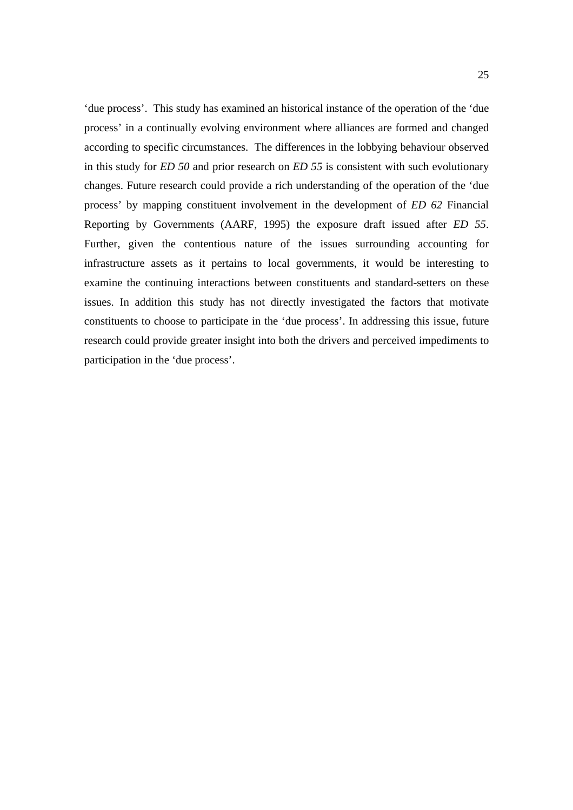'due process'. This study has examined an historical instance of the operation of the 'due process' in a continually evolving environment where alliances are formed and changed according to specific circumstances. The differences in the lobbying behaviour observed in this study for *ED 50* and prior research on *ED 55* is consistent with such evolutionary changes. Future research could provide a rich understanding of the operation of the 'due process' by mapping constituent involvement in the development of *ED 62* Financial Reporting by Governments (AARF, 1995) the exposure draft issued after *ED 55*. Further, given the contentious nature of the issues surrounding accounting for infrastructure assets as it pertains to local governments, it would be interesting to examine the continuing interactions between constituents and standard-setters on these issues. In addition this study has not directly investigated the factors that motivate constituents to choose to participate in the 'due process'. In addressing this issue, future research could provide greater insight into both the drivers and perceived impediments to participation in the 'due process'.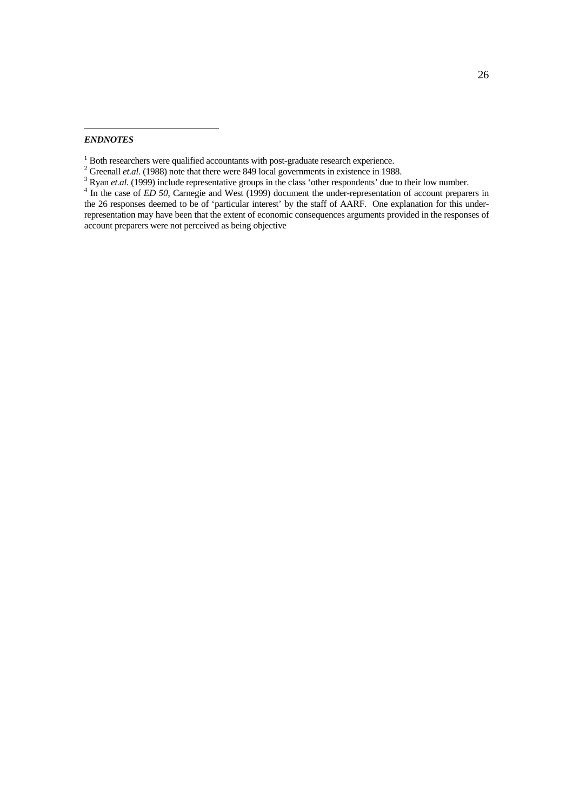#### *ENDNOTES*

 $<sup>1</sup>$  Both researchers were qualified accountants with post-graduate research experience.</sup>

<sup>&</sup>lt;sup>2</sup> Greenall *et.al.* (1988) note that there were 849 local governments in existence in 1988.  $\frac{3}{2}$  Pug at al. (1999) include representative groups in the close intervalsed that is to

<sup>&</sup>lt;sup>3</sup> Ryan *et.al.* (1999) include representative groups in the class 'other respondents' due to their low number.

In the case of *ED 50*, Carnegie and West (1999) document the under-representation of account preparers in the 26 responses deemed to be of 'particular interest' by the staff of AARF. One explanation for this underrepresentation may have been that the extent of economic consequences arguments provided in the responses of account preparers were not perceived as being objective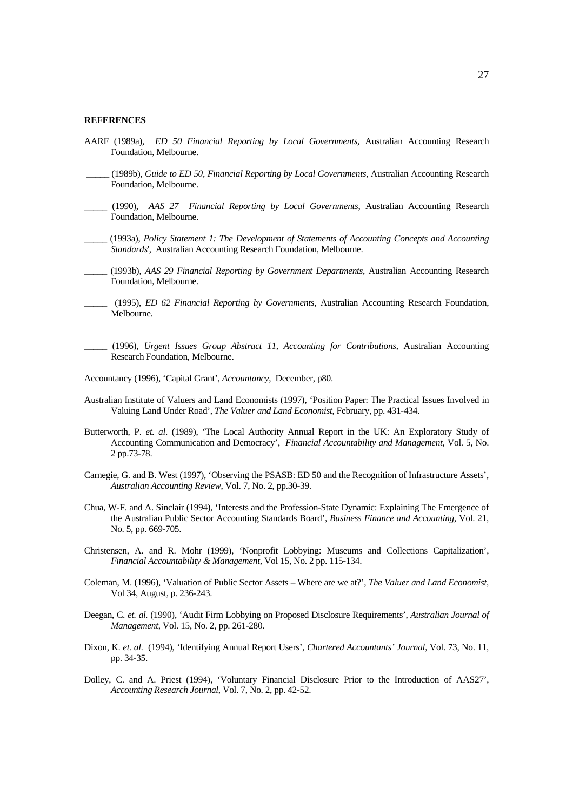#### **REFERENCES**

- AARF (1989a), *ED 50 Financial Reporting by Local Governments*, Australian Accounting Research Foundation, Melbourne.
- \_\_\_\_\_ (1989b), *Guide to ED 50, Financial Reporting by Local Governments*, Australian Accounting Research Foundation, Melbourne.
- \_\_\_\_\_ (1990), *AAS 27 Financial Reporting by Local Governments*, Australian Accounting Research Foundation, Melbourne.
- \_\_\_\_\_ (1993a), *Policy Statement 1: The Development of Statements of Accounting Concepts and Accounting Standards*', Australian Accounting Research Foundation, Melbourne.
- \_\_\_\_\_ (1993b), *AAS 29 Financial Reporting by Government Departments*, Australian Accounting Research Foundation, Melbourne.
- \_\_\_\_\_ (1995), *ED 62 Financial Reporting by Governments*, Australian Accounting Research Foundation, Melbourne.
- \_\_\_\_\_ (1996), *Urgent Issues Group Abstract 11, Accounting for Contributions*, Australian Accounting Research Foundation, Melbourne.
- Accountancy (1996), 'Capital Grant', *Accountancy*, December, p80.
- Australian Institute of Valuers and Land Economists (1997), 'Position Paper: The Practical Issues Involved in Valuing Land Under Road', *The Valuer and Land Economist*, February, pp. 431-434.
- Butterworth, P. *et. al*. (1989), 'The Local Authority Annual Report in the UK: An Exploratory Study of Accounting Communication and Democracy', *Financial Accountability and Management*, Vol. 5, No. 2 pp.73-78.
- Carnegie, G. and B. West (1997), 'Observing the PSASB: ED 50 and the Recognition of Infrastructure Assets', *Australian Accounting Review*, Vol. 7, No. 2, pp.30-39.
- Chua, W-F. and A. Sinclair (1994), 'Interests and the Profession-State Dynamic: Explaining The Emergence of the Australian Public Sector Accounting Standards Board', *Business Finance and Accounting*, Vol. 21, No. 5, pp. 669-705.
- Christensen, A. and R. Mohr (1999), 'Nonprofit Lobbying: Museums and Collections Capitalization', *Financial Accountability & Management,* Vol 15, No. 2 pp. 115-134.
- Coleman, M. (1996), 'Valuation of Public Sector Assets Where are we at?', *The Valuer and Land Economist,* Vol 34, August, p. 236-243.
- Deegan, C. *et. al.* (1990), 'Audit Firm Lobbying on Proposed Disclosure Requirements', *Australian Journal of Management*, Vol. 15, No. 2, pp. 261-280.
- Dixon, K. *et. al.* (1994), 'Identifying Annual Report Users', *Chartered Accountants' Journal*, Vol. 73, No. 11, pp. 34-35.
- Dolley, C. and A. Priest (1994), 'Voluntary Financial Disclosure Prior to the Introduction of AAS27', *Accounting Research Journal*, Vol. 7, No. 2, pp. 42-52.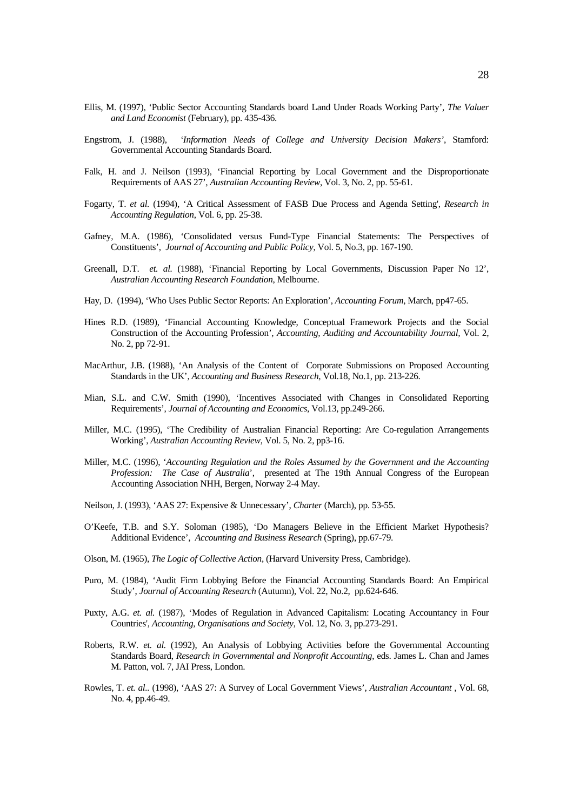- Ellis, M. (1997), 'Public Sector Accounting Standards board Land Under Roads Working Party', *The Valuer and Land Economist* (February), pp. 435-436.
- Engstrom, J. (1988), *'Information Needs of College and University Decision Makers'*, Stamford: Governmental Accounting Standards Board.
- Falk, H. and J. Neilson (1993), 'Financial Reporting by Local Government and the Disproportionate Requirements of AAS 27', *Australian Accounting Review*, Vol. 3, No. 2, pp. 55-61.
- Fogarty, T. *et al.* (1994), 'A Critical Assessment of FASB Due Process and Agenda Setting', *Research in Accounting Regulation*, Vol. 6, pp. 25-38.
- Gafney, M.A. (1986), 'Consolidated versus Fund-Type Financial Statements: The Perspectives of Constituents', *Journal of Accounting and Public Policy*, Vol. 5, No.3, pp. 167-190.
- Greenall, D.T. *et. al.* (1988), 'Financial Reporting by Local Governments, Discussion Paper No 12', *Australian Accounting Research Foundation*, Melbourne.
- Hay, D. (1994), 'Who Uses Public Sector Reports: An Exploration', *Accounting Forum*, March, pp47-65.
- Hines R.D. (1989), 'Financial Accounting Knowledge, Conceptual Framework Projects and the Social Construction of the Accounting Profession', *Accounting, Auditing and Accountability Journal,* Vol. 2, No. 2, pp 72-91.
- MacArthur, J.B. (1988), 'An Analysis of the Content of Corporate Submissions on Proposed Accounting Standards in the UK', *Accounting and Business Research*, Vol.18, No.1, pp. 213-226.
- Mian, S.L. and C.W. Smith (1990), 'Incentives Associated with Changes in Consolidated Reporting Requirements', *Journal of Accounting and Economics*, Vol.13, pp.249-266.
- Miller, M.C. (1995), 'The Credibility of Australian Financial Reporting: Are Co-regulation Arrangements Working', *Australian Accounting Review*, Vol. 5, No. 2, pp3-16.
- Miller, M.C. (1996), '*Accounting Regulation and the Roles Assumed by the Government and the Accounting Profession: The Case of Australia*', presented at The 19th Annual Congress of the European Accounting Association NHH, Bergen, Norway 2-4 May.
- Neilson, J. (1993), 'AAS 27: Expensive & Unnecessary', *Charter* (March), pp. 53-55.
- O'Keefe, T.B. and S.Y. Soloman (1985), 'Do Managers Believe in the Efficient Market Hypothesis? Additional Evidence', *Accounting and Business Research* (Spring), pp.67-79.
- Olson, M. (1965), *The Logic of Collective Action*, (Harvard University Press, Cambridge).
- Puro, M. (1984), 'Audit Firm Lobbying Before the Financial Accounting Standards Board: An Empirical Study', *Journal of Accounting Research* (Autumn), Vol. 22, No.2, pp.624-646.
- Puxty, A.G. *et. al.* (1987), 'Modes of Regulation in Advanced Capitalism: Locating Accountancy in Four Countries', *Accounting, Organisations and Society*, Vol. 12, No. 3, pp.273-291.
- Roberts, R.W. *et. al.* (1992), An Analysis of Lobbying Activities before the Governmental Accounting Standards Board, *Research in Governmental and Nonprofit Accounting*, eds. James L. Chan and James M. Patton, vol. 7, JAI Press, London.
- Rowles, T. *et. al..* (1998), 'AAS 27: A Survey of Local Government Views', *Australian Accountant* , Vol. 68, No. 4, pp.46-49.